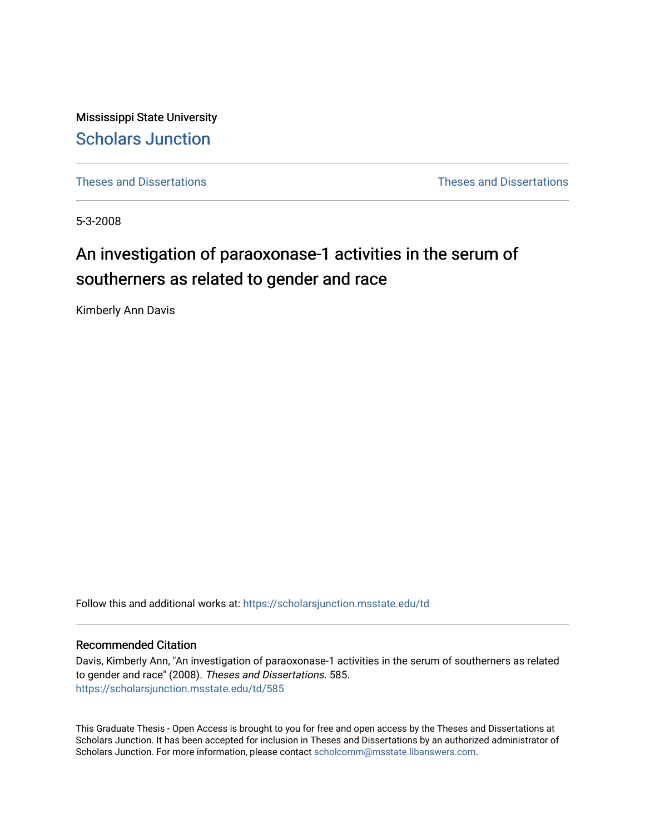Mississippi State University [Scholars Junction](https://scholarsjunction.msstate.edu/) 

[Theses and Dissertations](https://scholarsjunction.msstate.edu/td) [Theses and Dissertations](https://scholarsjunction.msstate.edu/theses-dissertations) 

5-3-2008

# An investigation of paraoxonase-1 activities in the serum of southerners as related to gender and race

Kimberly Ann Davis

Follow this and additional works at: [https://scholarsjunction.msstate.edu/td](https://scholarsjunction.msstate.edu/td?utm_source=scholarsjunction.msstate.edu%2Ftd%2F585&utm_medium=PDF&utm_campaign=PDFCoverPages) 

#### Recommended Citation

Davis, Kimberly Ann, "An investigation of paraoxonase-1 activities in the serum of southerners as related to gender and race" (2008). Theses and Dissertations. 585. [https://scholarsjunction.msstate.edu/td/585](https://scholarsjunction.msstate.edu/td/585?utm_source=scholarsjunction.msstate.edu%2Ftd%2F585&utm_medium=PDF&utm_campaign=PDFCoverPages) 

This Graduate Thesis - Open Access is brought to you for free and open access by the Theses and Dissertations at Scholars Junction. It has been accepted for inclusion in Theses and Dissertations by an authorized administrator of Scholars Junction. For more information, please contact [scholcomm@msstate.libanswers.com.](mailto:scholcomm@msstate.libanswers.com)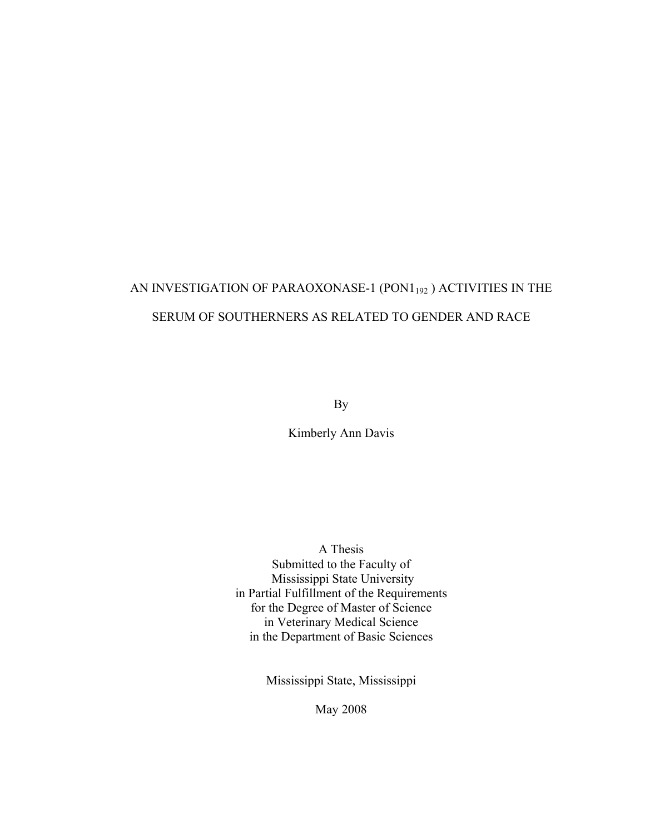# AN INVESTIGATION OF PARAOXONASE-1 (PON1<sub>192</sub>) ACTIVITIES IN THE SERUM OF SOUTHERNERS AS RELATED TO GENDER AND RACE

By

Kimberly Ann Davis

A Thesis Submitted to the Faculty of Mississippi State University in Partial Fulfillment of the Requirements for the Degree of Master of Science in Veterinary Medical Science in the Department of Basic Sciences

Mississippi State, Mississippi

May 2008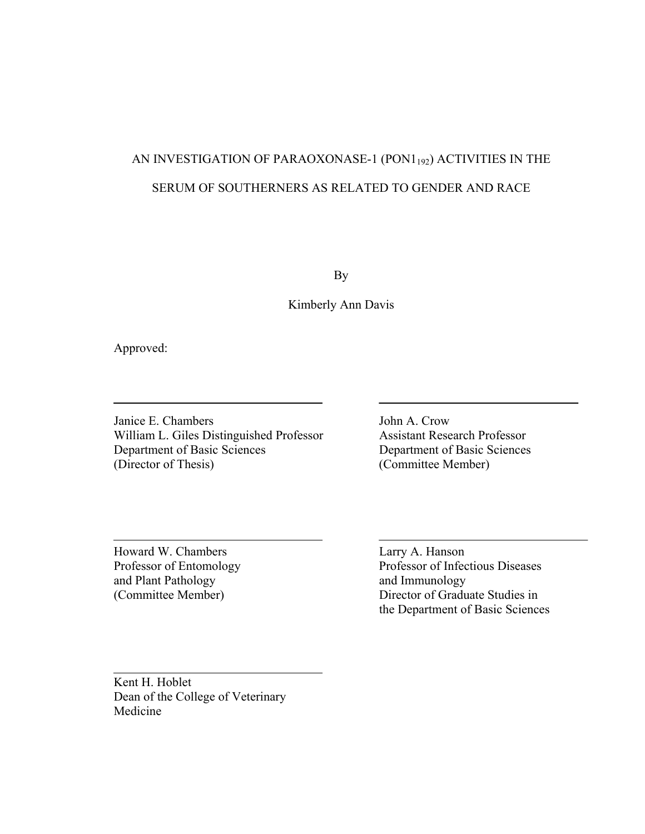# AN INVESTIGATION OF PARAOXONASE-1 (PON1<sub>192</sub>) ACTIVITIES IN THE SERUM OF SOUTHERNERS AS RELATED TO GENDER AND RACE

By

Kimberly Ann Davis

Approved:

—<br>—

L

Janice E. Chambers<br>William L. Giles Distinguished Professor<br>Assistant Research Professor William L. Giles Distinguished Professor Department of Basic Sciences Department of Basic Sciences (Director of Thesis) (Committee Member)

Howard W. Chambers Larry A. Hanson and Plant Pathology and Immunology

Professor of Entomology Professor of Infectious Diseases (Committee Member) Director of Graduate Studies in the Department of Basic Sciences

Kent H. Hoblet Dean of the College of Veterinary Medicine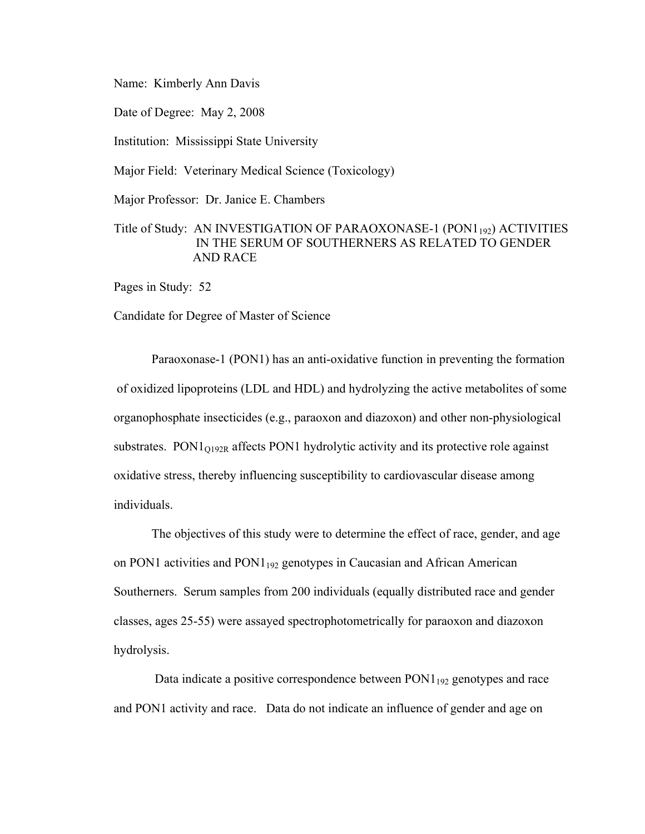Name: Kimberly Ann Davis

Date of Degree: May 2, 2008

Institution: Mississippi State University

Major Field: Veterinary Medical Science (Toxicology)

Major Professor: Dr. Janice E. Chambers

# Title of Study: AN INVESTIGATION OF PARAOXONASE-1 (PON1<sub>192</sub>) ACTIVITIES IN THE SERUM OF SOUTHERNERS AS RELATED TO GENDER AND RACE

Pages in Study: 52

Candidate for Degree of Master of Science

 Paraoxonase-1 (PON1) has an anti-oxidative function in preventing the formation of oxidized lipoproteins (LDL and HDL) and hydrolyzing the active metabolites of some organophosphate insecticides (e.g., paraoxon and diazoxon) and other non-physiological substrates. PON $1_{O192R}$  affects PON1 hydrolytic activity and its protective role against oxidative stress, thereby influencing susceptibility to cardiovascular disease among individuals.

 The objectives of this study were to determine the effect of race, gender, and age on PON1 activities and PON1192 genotypes in Caucasian and African American Southerners. Serum samples from 200 individuals (equally distributed race and gender classes, ages 25-55) were assayed spectrophotometrically for paraoxon and diazoxon hydrolysis.

Data indicate a positive correspondence between  $PON1_{192}$  genotypes and race and PON1 activity and race. Data do not indicate an influence of gender and age on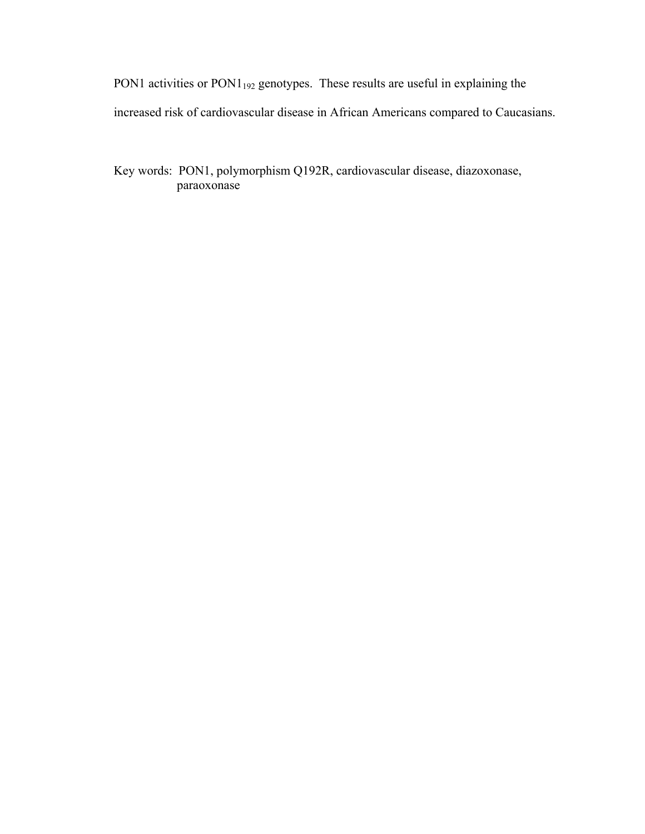PON1 activities or PON1<sub>192</sub> genotypes. These results are useful in explaining the increased risk of cardiovascular disease in African Americans compared to Caucasians.

Key words: PON1, polymorphism Q192R, cardiovascular disease, diazoxonase, paraoxonase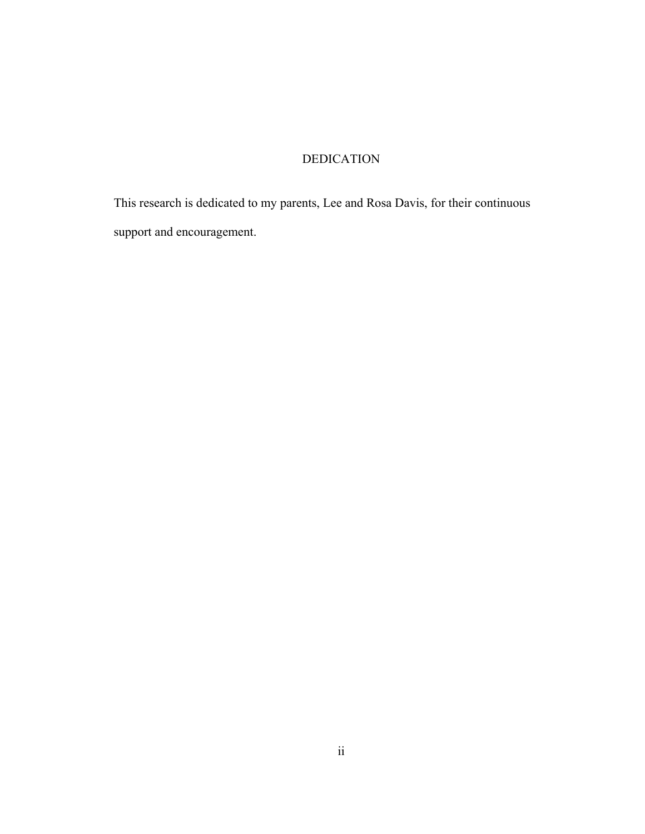# DEDICATION

This research is dedicated to my parents, Lee and Rosa Davis, for their continuous support and encouragement.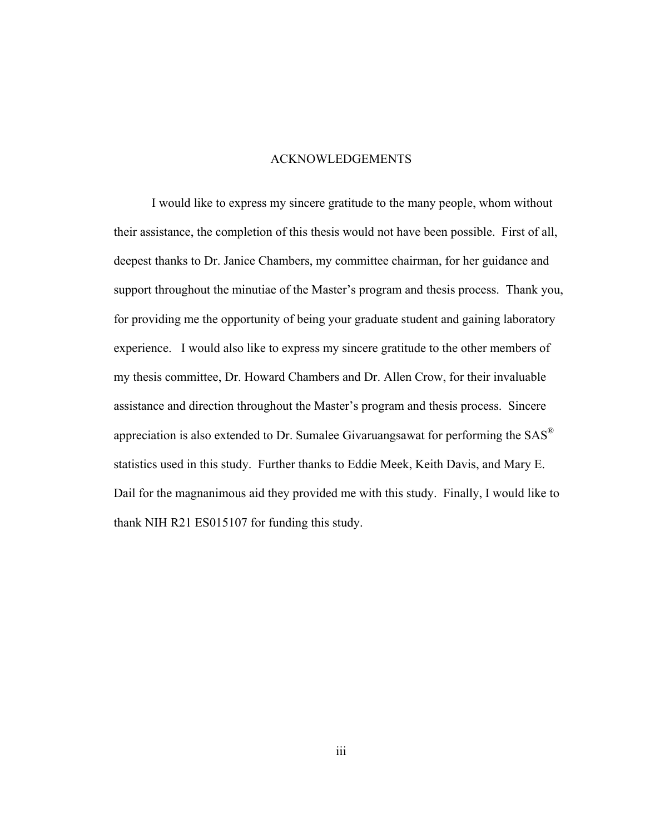#### ACKNOWLEDGEMENTS

 I would like to express my sincere gratitude to the many people, whom without their assistance, the completion of this thesis would not have been possible. First of all, deepest thanks to Dr. Janice Chambers, my committee chairman, for her guidance and support throughout the minutiae of the Master's program and thesis process. Thank you, for providing me the opportunity of being your graduate student and gaining laboratory experience. I would also like to express my sincere gratitude to the other members of my thesis committee, Dr. Howard Chambers and Dr. Allen Crow, for their invaluable assistance and direction throughout the Master's program and thesis process. Sincere appreciation is also extended to Dr. Sumalee Givaruangsawat for performing the SAS® statistics used in this study. Further thanks to Eddie Meek, Keith Davis, and Mary E. Dail for the magnanimous aid they provided me with this study. Finally, I would like to thank NIH R21 ES015107 for funding this study.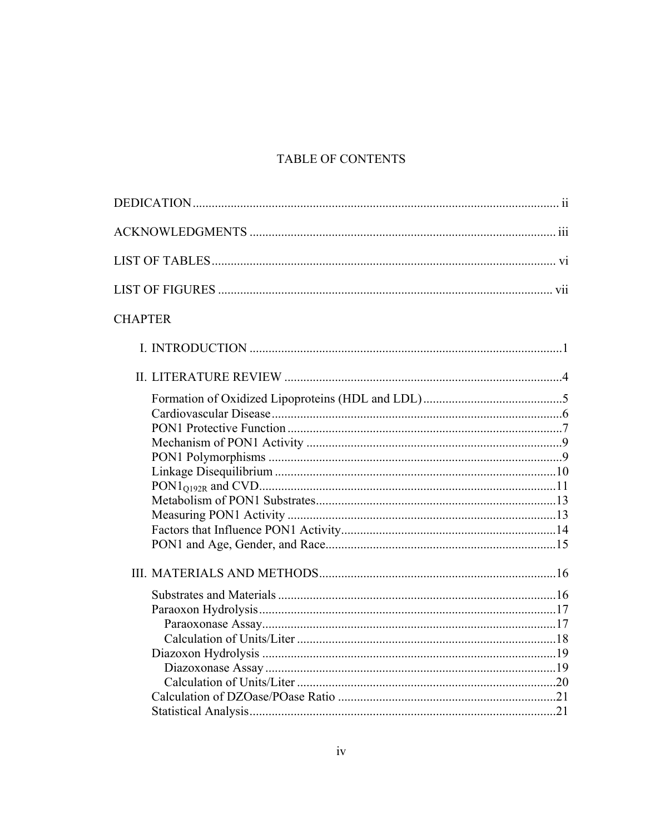# TABLE OF CONTENTS

| <b>CHAPTER</b> |  |
|----------------|--|
|                |  |
|                |  |
|                |  |
|                |  |
|                |  |
|                |  |
|                |  |
|                |  |
|                |  |
|                |  |
|                |  |
|                |  |
|                |  |
|                |  |
|                |  |
|                |  |
|                |  |
|                |  |
|                |  |
|                |  |
|                |  |
|                |  |
|                |  |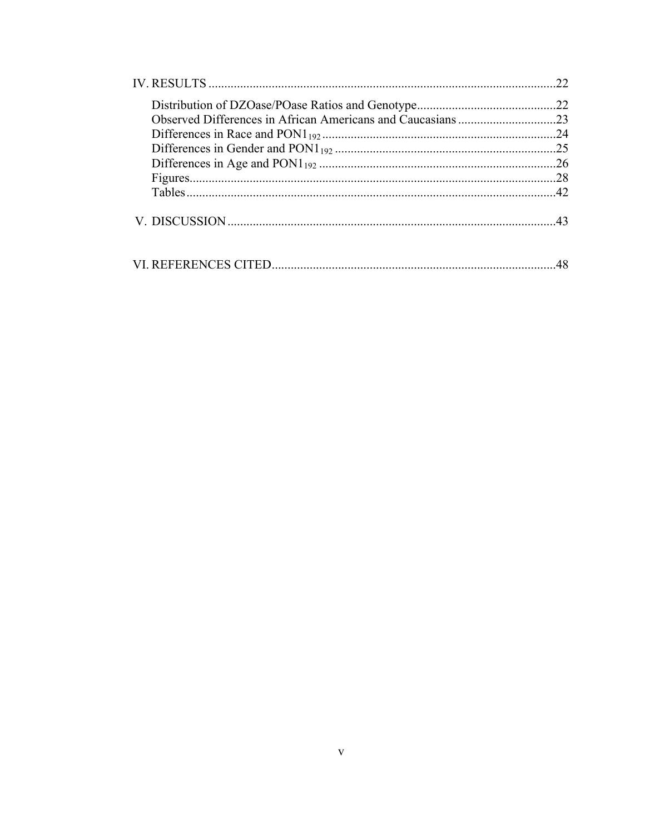| 22  |
|-----|
|     |
|     |
| 24  |
|     |
|     |
| .28 |
|     |
|     |
| 48  |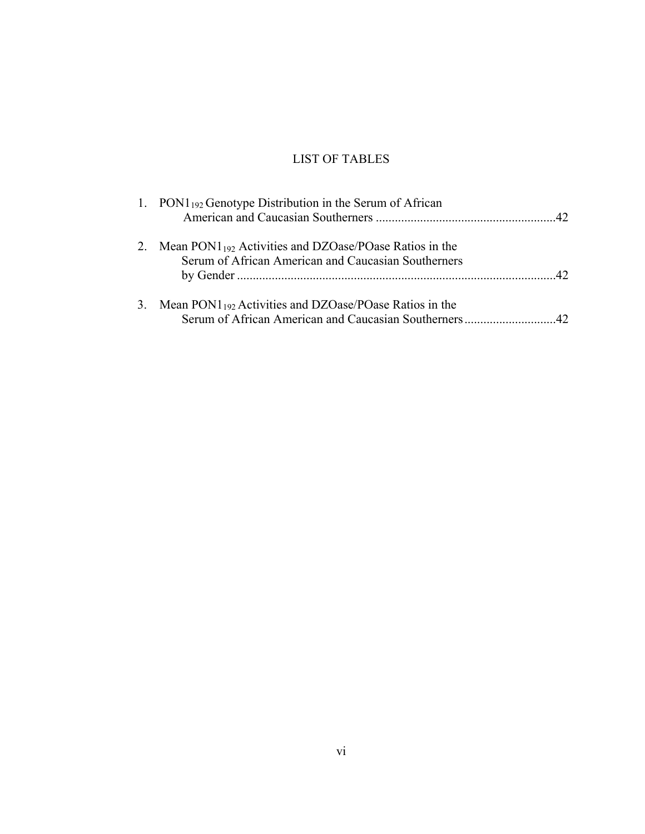# LIST OF TABLES

| 1. $\text{PON1}_{192}$ Genotype Distribution in the Serum of African                                                  |  |
|-----------------------------------------------------------------------------------------------------------------------|--|
| 2. Mean $PONI_{192}$ Activities and DZOase/POase Ratios in the<br>Serum of African American and Caucasian Southerners |  |
|                                                                                                                       |  |
| 3. Mean $PON1_{192}$ Activities and DZOase/POase Ratios in the                                                        |  |
|                                                                                                                       |  |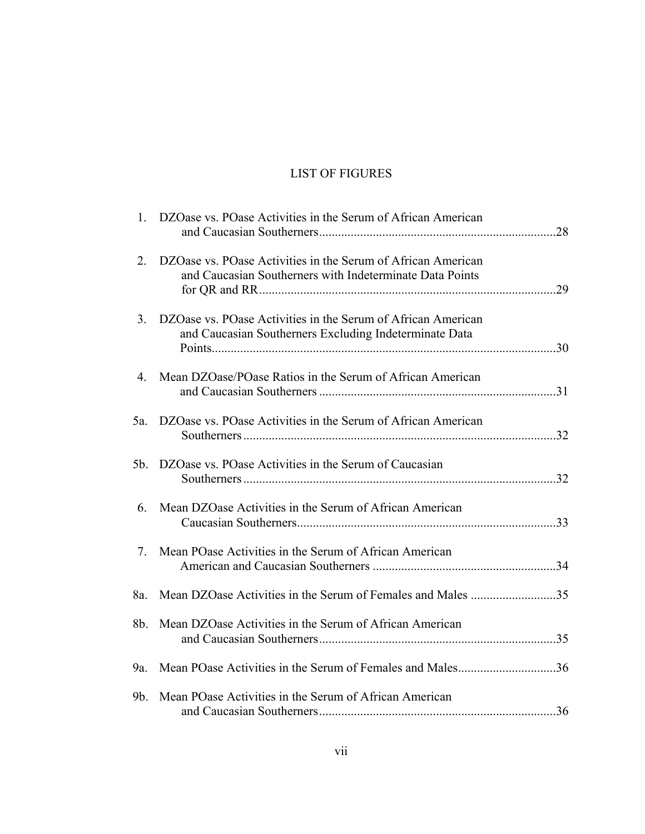# LIST OF FIGURES

| $1_{-}$        | DZOase vs. POase Activities in the Serum of African American                                                             |     |
|----------------|--------------------------------------------------------------------------------------------------------------------------|-----|
| 2.             | DZOase vs. POase Activities in the Serum of African American<br>and Caucasian Southerners with Indeterminate Data Points | .29 |
| 3 <sub>1</sub> | DZOase vs. POase Activities in the Serum of African American<br>and Caucasian Southerners Excluding Indeterminate Data   |     |
| $4_{\cdot}$    | Mean DZOase/POase Ratios in the Serum of African American                                                                |     |
|                | 5a. DZOase vs. POase Activities in the Serum of African American                                                         |     |
|                | 5b. DZOase vs. POase Activities in the Serum of Caucasian                                                                |     |
| 6.             | Mean DZOase Activities in the Serum of African American                                                                  |     |
| 7.             | Mean POase Activities in the Serum of African American                                                                   |     |
| 8a.            | Mean DZOase Activities in the Serum of Females and Males 35                                                              |     |
| 8b.            | Mean DZOase Activities in the Serum of African American                                                                  |     |
| 9a.            | Mean POase Activities in the Serum of Females and Males36                                                                |     |
| 9 <sub>b</sub> | Mean POase Activities in the Serum of African American                                                                   |     |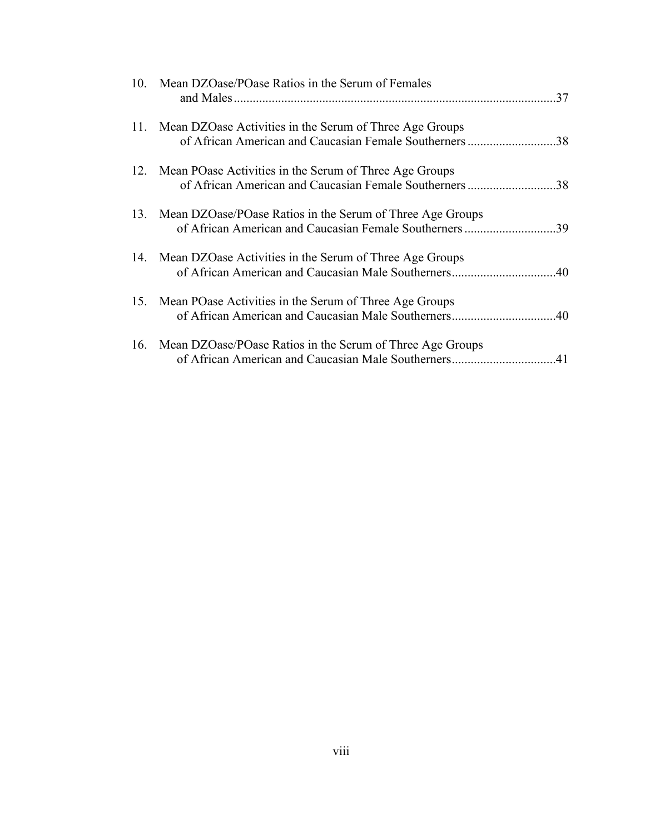| 10. Mean DZOase/POase Ratios in the Serum of Females                                                                   | 37  |
|------------------------------------------------------------------------------------------------------------------------|-----|
| 11. Mean DZOase Activities in the Serum of Three Age Groups<br>of African American and Caucasian Female Southerners 38 |     |
| 12. Mean POase Activities in the Serum of Three Age Groups<br>of African American and Caucasian Female Southerners 38  |     |
| 13. Mean DZOase/POase Ratios in the Serum of Three Age Groups<br>of African American and Caucasian Female Southerners  | 39  |
| 14. Mean DZOase Activities in the Serum of Three Age Groups<br>of African American and Caucasian Male Southerners      | 40  |
| 15. Mean POase Activities in the Serum of Three Age Groups                                                             |     |
| 16. Mean DZOase/POase Ratios in the Serum of Three Age Groups<br>of African American and Caucasian Male Southerners    | .41 |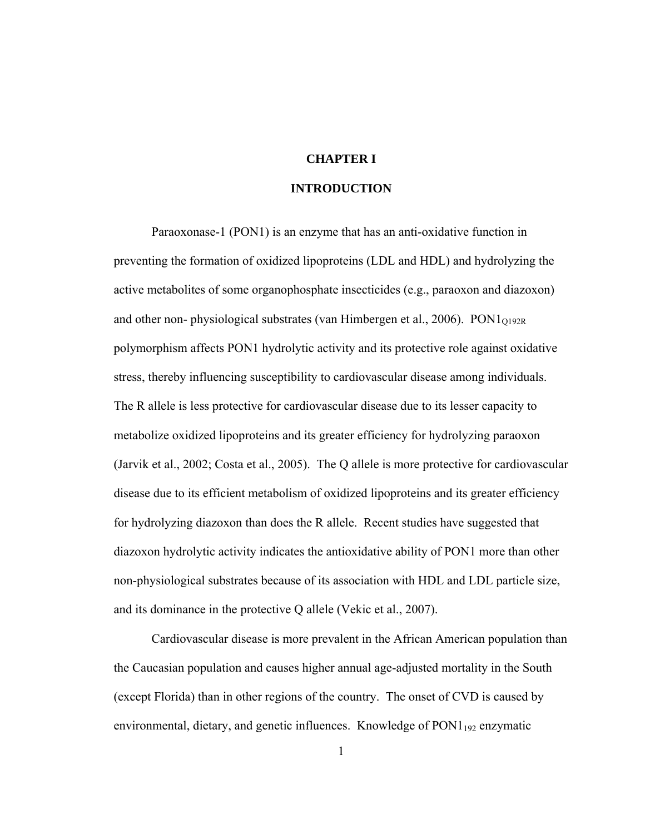# **CHAPTER I**

# **INTRODUCTION**

 Paraoxonase-1 (PON1) is an enzyme that has an anti-oxidative function in preventing the formation of oxidized lipoproteins (LDL and HDL) and hydrolyzing the active metabolites of some organophosphate insecticides (e.g., paraoxon and diazoxon) and other non- physiological substrates (van Himbergen et al., 2006).  $PON1<sub>O192R</sub>$ polymorphism affects PON1 hydrolytic activity and its protective role against oxidative stress, thereby influencing susceptibility to cardiovascular disease among individuals. The R allele is less protective for cardiovascular disease due to its lesser capacity to metabolize oxidized lipoproteins and its greater efficiency for hydrolyzing paraoxon (Jarvik et al., 2002; Costa et al., 2005). The Q allele is more protective for cardiovascular disease due to its efficient metabolism of oxidized lipoproteins and its greater efficiency for hydrolyzing diazoxon than does the R allele. Recent studies have suggested that diazoxon hydrolytic activity indicates the antioxidative ability of PON1 more than other non-physiological substrates because of its association with HDL and LDL particle size, and its dominance in the protective Q allele (Vekic et al., 2007).

Cardiovascular disease is more prevalent in the African American population than the Caucasian population and causes higher annual age-adjusted mortality in the South (except Florida) than in other regions of the country. The onset of CVD is caused by environmental, dietary, and genetic influences. Knowledge of  $PON1_{192}$  enzymatic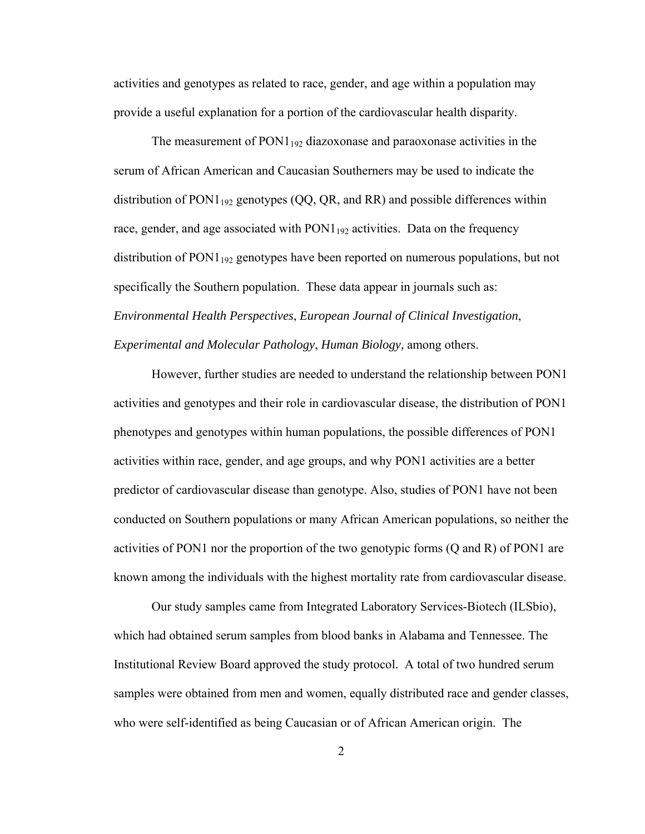activities and genotypes as related to race, gender, and age within a population may provide a useful explanation for a portion of the cardiovascular health disparity.

The measurement of  $PON1_{192}$  diazoxonase and paraoxonase activities in the serum of African American and Caucasian Southerners may be used to indicate the distribution of  $PON1_{192}$  genotypes (QQ, QR, and RR) and possible differences within race, gender, and age associated with  $PON1_{192}$  activities. Data on the frequency distribution of  $PON1_{192}$  genotypes have been reported on numerous populations, but not specifically the Southern population. These data appear in journals such as: *Environmental Health Perspectives*, *European Journal of Clinical Investigation*, *Experimental and Molecular Pathology*, *Human Biology,* among others.

 However, further studies are needed to understand the relationship between PON1 activities and genotypes and their role in cardiovascular disease, the distribution of PON1 phenotypes and genotypes within human populations, the possible differences of PON1 activities within race, gender, and age groups, and why PON1 activities are a better predictor of cardiovascular disease than genotype. Also, studies of PON1 have not been conducted on Southern populations or many African American populations, so neither the activities of PON1 nor the proportion of the two genotypic forms (Q and R) of PON1 are known among the individuals with the highest mortality rate from cardiovascular disease.

Our study samples came from Integrated Laboratory Services-Biotech (ILSbio), which had obtained serum samples from blood banks in Alabama and Tennessee. The Institutional Review Board approved the study protocol. A total of two hundred serum samples were obtained from men and women, equally distributed race and gender classes, who were self-identified as being Caucasian or of African American origin. The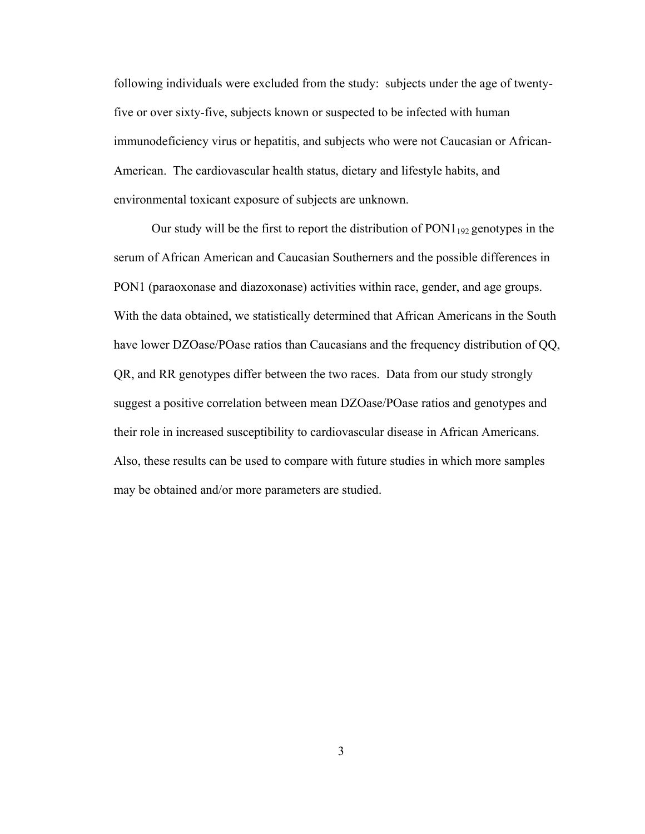following individuals were excluded from the study: subjects under the age of twentyfive or over sixty-five, subjects known or suspected to be infected with human immunodeficiency virus or hepatitis, and subjects who were not Caucasian or African-American. The cardiovascular health status, dietary and lifestyle habits, and environmental toxicant exposure of subjects are unknown.

Our study will be the first to report the distribution of  $PON1_{192}$  genotypes in the serum of African American and Caucasian Southerners and the possible differences in PON1 (paraoxonase and diazoxonase) activities within race, gender, and age groups. With the data obtained, we statistically determined that African Americans in the South have lower DZOase/POase ratios than Caucasians and the frequency distribution of QQ, QR, and RR genotypes differ between the two races. Data from our study strongly suggest a positive correlation between mean DZOase/POase ratios and genotypes and their role in increased susceptibility to cardiovascular disease in African Americans. Also, these results can be used to compare with future studies in which more samples may be obtained and/or more parameters are studied.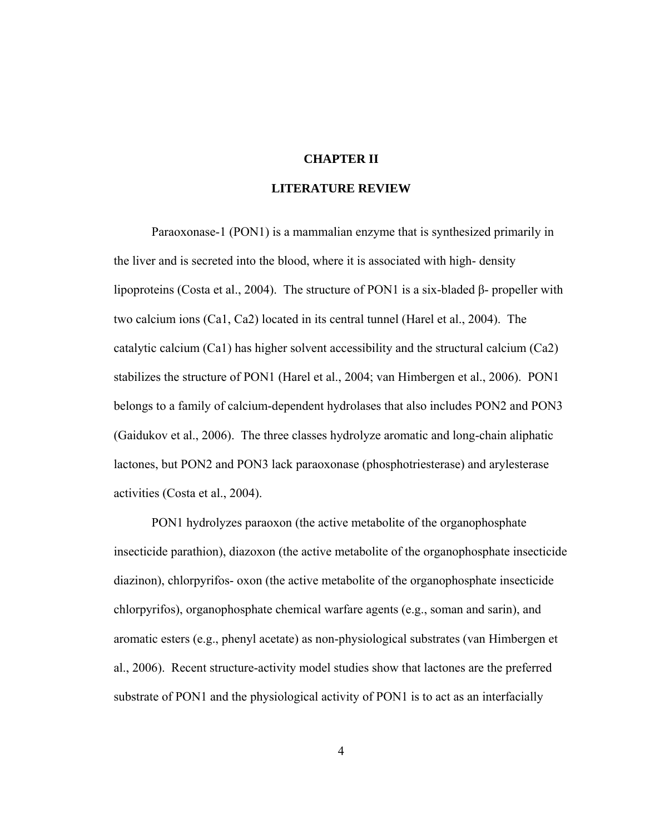## **CHAPTER II**

# **LITERATURE REVIEW**

Paraoxonase-1 (PON1) is a mammalian enzyme that is synthesized primarily in the liver and is secreted into the blood, where it is associated with high- density lipoproteins (Costa et al., 2004). The structure of PON1 is a six-bladed β- propeller with two calcium ions (Ca1, Ca2) located in its central tunnel (Harel et al., 2004). The catalytic calcium (Ca1) has higher solvent accessibility and the structural calcium (Ca2) stabilizes the structure of PON1 (Harel et al., 2004; van Himbergen et al., 2006). PON1 belongs to a family of calcium-dependent hydrolases that also includes PON2 and PON3 (Gaidukov et al., 2006). The three classes hydrolyze aromatic and long-chain aliphatic lactones, but PON2 and PON3 lack paraoxonase (phosphotriesterase) and arylesterase activities (Costa et al., 2004).

PON1 hydrolyzes paraoxon (the active metabolite of the organophosphate insecticide parathion), diazoxon (the active metabolite of the organophosphate insecticide diazinon), chlorpyrifos- oxon (the active metabolite of the organophosphate insecticide chlorpyrifos), organophosphate chemical warfare agents (e.g., soman and sarin), and aromatic esters (e.g., phenyl acetate) as non-physiological substrates (van Himbergen et al., 2006). Recent structure-activity model studies show that lactones are the preferred substrate of PON1 and the physiological activity of PON1 is to act as an interfacially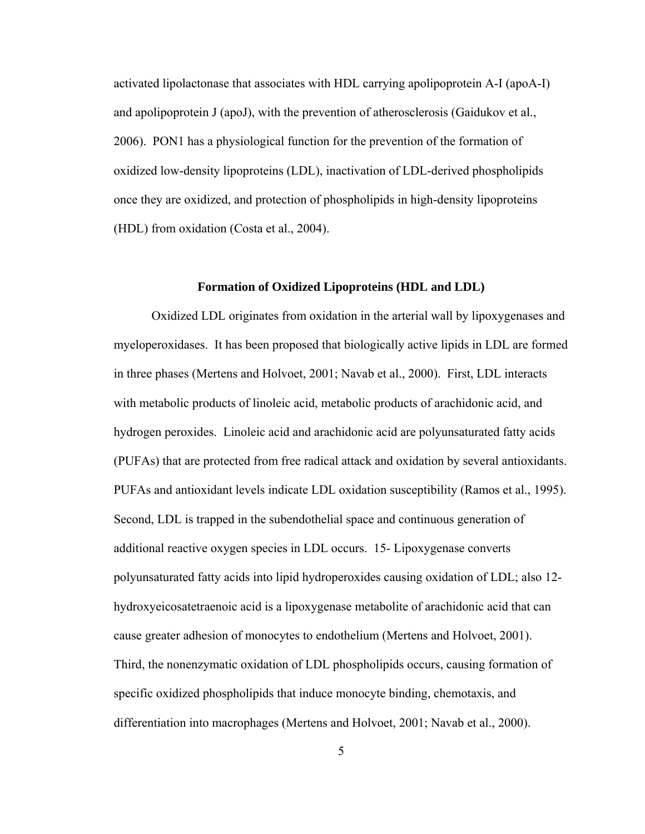activated lipolactonase that associates with HDL carrying apolipoprotein A-I (apoA-I) and apolipoprotein J (apoJ), with the prevention of atherosclerosis (Gaidukov et al., 2006). PON1 has a physiological function for the prevention of the formation of oxidized low-density lipoproteins (LDL), inactivation of LDL-derived phospholipids once they are oxidized, and protection of phospholipids in high-density lipoproteins (HDL) from oxidation (Costa et al., 2004).

#### **Formation of Oxidized Lipoproteins (HDL and LDL)**

Oxidized LDL originates from oxidation in the arterial wall by lipoxygenases and myeloperoxidases. It has been proposed that biologically active lipids in LDL are formed in three phases (Mertens and Holvoet, 2001; Navab et al., 2000). First, LDL interacts with metabolic products of linoleic acid, metabolic products of arachidonic acid, and hydrogen peroxides. Linoleic acid and arachidonic acid are polyunsaturated fatty acids (PUFAs) that are protected from free radical attack and oxidation by several antioxidants. PUFAs and antioxidant levels indicate LDL oxidation susceptibility (Ramos et al., 1995). Second, LDL is trapped in the subendothelial space and continuous generation of additional reactive oxygen species in LDL occurs. 15- Lipoxygenase converts polyunsaturated fatty acids into lipid hydroperoxides causing oxidation of LDL; also 12 hydroxyeicosatetraenoic acid is a lipoxygenase metabolite of arachidonic acid that can cause greater adhesion of monocytes to endothelium (Mertens and Holvoet, 2001). Third, the nonenzymatic oxidation of LDL phospholipids occurs, causing formation of specific oxidized phospholipids that induce monocyte binding, chemotaxis, and differentiation into macrophages (Mertens and Holvoet, 2001; Navab et al., 2000).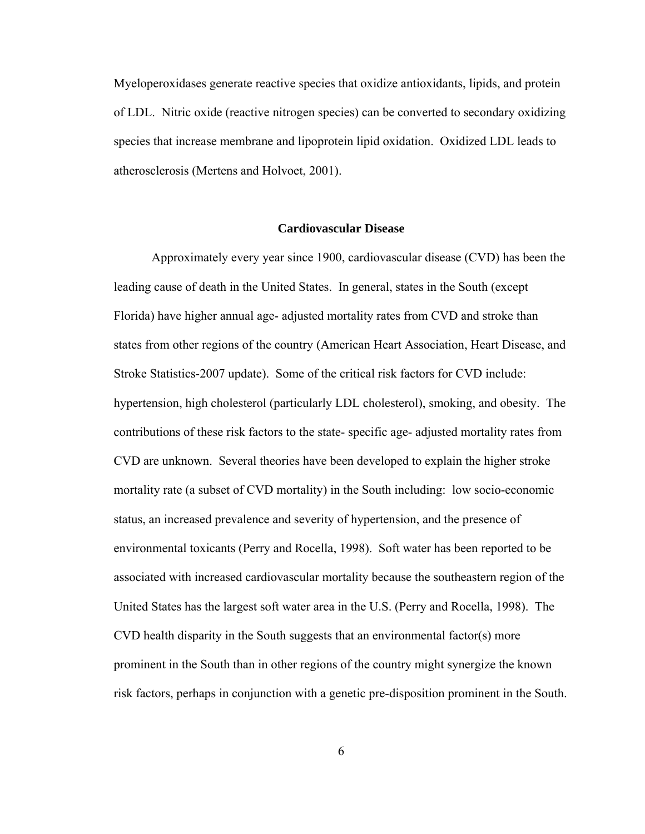Myeloperoxidases generate reactive species that oxidize antioxidants, lipids, and protein of LDL. Nitric oxide (reactive nitrogen species) can be converted to secondary oxidizing species that increase membrane and lipoprotein lipid oxidation. Oxidized LDL leads to atherosclerosis (Mertens and Holvoet, 2001).

#### **Cardiovascular Disease**

Approximately every year since 1900, cardiovascular disease (CVD) has been the leading cause of death in the United States. In general, states in the South (except Florida) have higher annual age- adjusted mortality rates from CVD and stroke than states from other regions of the country (American Heart Association, Heart Disease, and Stroke Statistics-2007 update). Some of the critical risk factors for CVD include: hypertension, high cholesterol (particularly LDL cholesterol), smoking, and obesity. The contributions of these risk factors to the state- specific age- adjusted mortality rates from CVD are unknown. Several theories have been developed to explain the higher stroke mortality rate (a subset of CVD mortality) in the South including: low socio-economic status, an increased prevalence and severity of hypertension, and the presence of environmental toxicants (Perry and Rocella, 1998). Soft water has been reported to be associated with increased cardiovascular mortality because the southeastern region of the United States has the largest soft water area in the U.S. (Perry and Rocella, 1998). The CVD health disparity in the South suggests that an environmental factor(s) more prominent in the South than in other regions of the country might synergize the known risk factors, perhaps in conjunction with a genetic pre-disposition prominent in the South.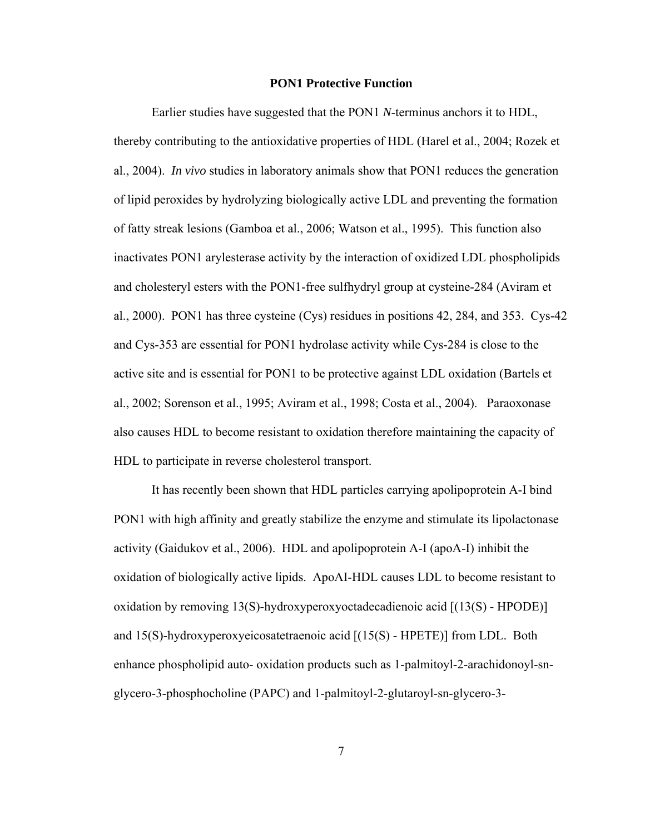#### **PON1 Protective Function**

 Earlier studies have suggested that the PON1 *N*-terminus anchors it to HDL, thereby contributing to the antioxidative properties of HDL (Harel et al., 2004; Rozek et al., 2004). *In vivo* studies in laboratory animals show that PON1 reduces the generation of lipid peroxides by hydrolyzing biologically active LDL and preventing the formation of fatty streak lesions (Gamboa et al., 2006; Watson et al., 1995). This function also inactivates PON1 arylesterase activity by the interaction of oxidized LDL phospholipids and cholesteryl esters with the PON1-free sulfhydryl group at cysteine-284 (Aviram et al., 2000). PON1 has three cysteine (Cys) residues in positions 42, 284, and 353. Cys-42 and Cys-353 are essential for PON1 hydrolase activity while Cys-284 is close to the active site and is essential for PON1 to be protective against LDL oxidation (Bartels et al., 2002; Sorenson et al., 1995; Aviram et al., 1998; Costa et al., 2004). Paraoxonase also causes HDL to become resistant to oxidation therefore maintaining the capacity of HDL to participate in reverse cholesterol transport.

It has recently been shown that HDL particles carrying apolipoprotein A-I bind PON1 with high affinity and greatly stabilize the enzyme and stimulate its lipolactonase activity (Gaidukov et al., 2006). HDL and apolipoprotein A-I (apoA-I) inhibit the oxidation of biologically active lipids. ApoAI-HDL causes LDL to become resistant to oxidation by removing 13(S)-hydroxyperoxyoctadecadienoic acid [(13(S) - HPODE)] and 15(S)-hydroxyperoxyeicosatetraenoic acid [(15(S) - HPETE)] from LDL. Both enhance phospholipid auto- oxidation products such as 1-palmitoyl-2-arachidonoyl-snglycero-3-phosphocholine (PAPC) and 1-palmitoyl-2-glutaroyl-sn-glycero-3-

7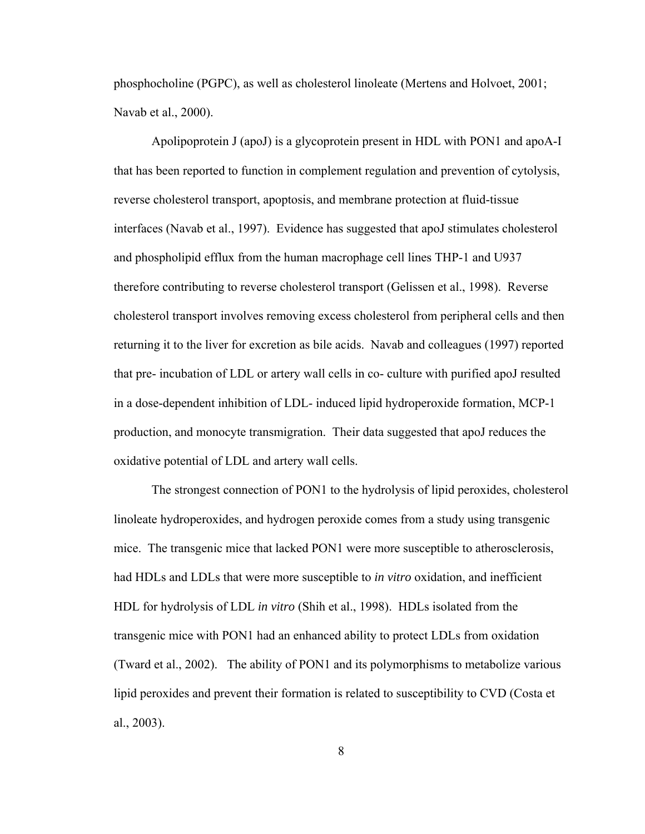phosphocholine (PGPC), as well as cholesterol linoleate (Mertens and Holvoet, 2001; Navab et al., 2000).

Apolipoprotein J (apoJ) is a glycoprotein present in HDL with PON1 and apoA-I that has been reported to function in complement regulation and prevention of cytolysis, reverse cholesterol transport, apoptosis, and membrane protection at fluid-tissue interfaces (Navab et al., 1997). Evidence has suggested that apoJ stimulates cholesterol and phospholipid efflux from the human macrophage cell lines THP-1 and U937 therefore contributing to reverse cholesterol transport (Gelissen et al., 1998). Reverse cholesterol transport involves removing excess cholesterol from peripheral cells and then returning it to the liver for excretion as bile acids. Navab and colleagues (1997) reported that pre- incubation of LDL or artery wall cells in co- culture with purified apoJ resulted in a dose-dependent inhibition of LDL- induced lipid hydroperoxide formation, MCP-1 production, and monocyte transmigration. Their data suggested that apoJ reduces the oxidative potential of LDL and artery wall cells.

The strongest connection of PON1 to the hydrolysis of lipid peroxides, cholesterol linoleate hydroperoxides, and hydrogen peroxide comes from a study using transgenic mice. The transgenic mice that lacked PON1 were more susceptible to atherosclerosis, had HDLs and LDLs that were more susceptible to *in vitro* oxidation, and inefficient HDL for hydrolysis of LDL *in vitro* (Shih et al., 1998). HDLs isolated from the transgenic mice with PON1 had an enhanced ability to protect LDLs from oxidation (Tward et al., 2002). The ability of PON1 and its polymorphisms to metabolize various lipid peroxides and prevent their formation is related to susceptibility to CVD (Costa et al., 2003).

8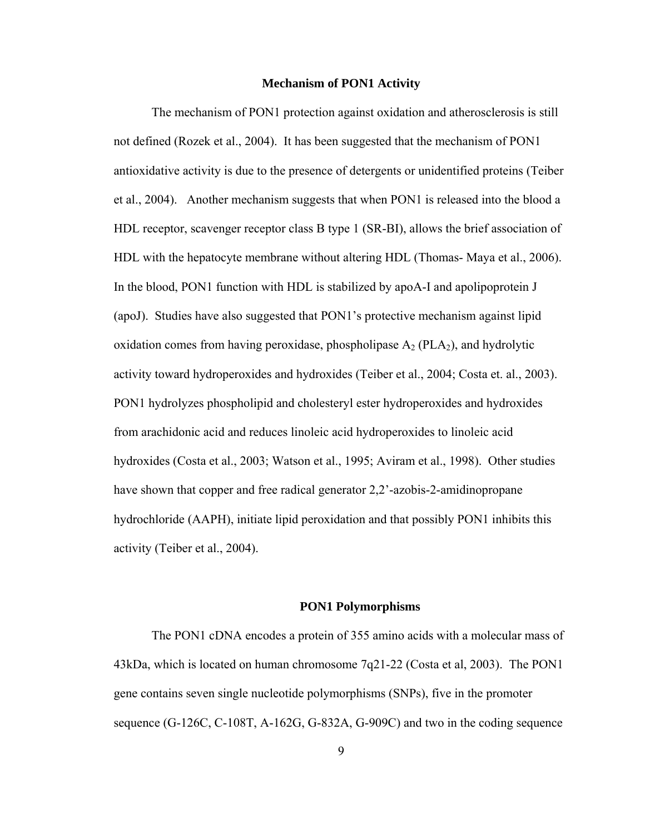#### **Mechanism of PON1 Activity**

The mechanism of PON1 protection against oxidation and atherosclerosis is still not defined (Rozek et al., 2004). It has been suggested that the mechanism of PON1 antioxidative activity is due to the presence of detergents or unidentified proteins (Teiber et al., 2004). Another mechanism suggests that when PON1 is released into the blood a HDL receptor, scavenger receptor class B type 1 (SR-BI), allows the brief association of HDL with the hepatocyte membrane without altering HDL (Thomas- Maya et al., 2006). In the blood, PON1 function with HDL is stabilized by apoA-I and apolipoprotein J (apoJ). Studies have also suggested that PON1's protective mechanism against lipid oxidation comes from having peroxidase, phospholipase  $A_2$  (PLA<sub>2</sub>), and hydrolytic activity toward hydroperoxides and hydroxides (Teiber et al., 2004; Costa et. al., 2003). PON1 hydrolyzes phospholipid and cholesteryl ester hydroperoxides and hydroxides from arachidonic acid and reduces linoleic acid hydroperoxides to linoleic acid hydroxides (Costa et al., 2003; Watson et al., 1995; Aviram et al., 1998). Other studies have shown that copper and free radical generator 2,2'-azobis-2-amidinopropane hydrochloride (AAPH), initiate lipid peroxidation and that possibly PON1 inhibits this activity (Teiber et al., 2004).

#### **PON1 Polymorphisms**

The PON1 cDNA encodes a protein of 355 amino acids with a molecular mass of 43kDa, which is located on human chromosome 7q21-22 (Costa et al, 2003). The PON1 gene contains seven single nucleotide polymorphisms (SNPs), five in the promoter sequence (G-126C, C-108T, A-162G, G-832A, G-909C) and two in the coding sequence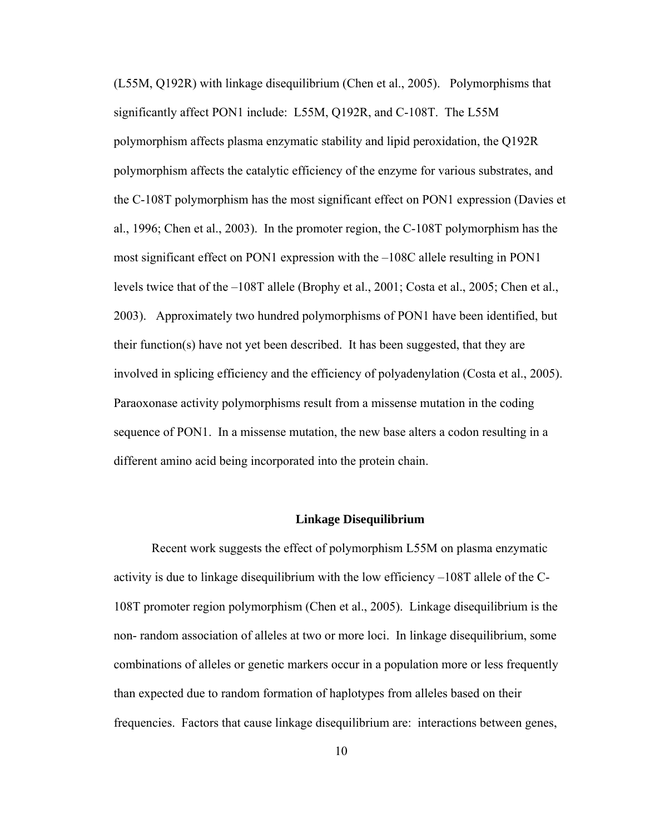(L55M, Q192R) with linkage disequilibrium (Chen et al., 2005). Polymorphisms that significantly affect PON1 include: L55M, Q192R, and C-108T. The L55M polymorphism affects plasma enzymatic stability and lipid peroxidation, the Q192R polymorphism affects the catalytic efficiency of the enzyme for various substrates, and the C-108T polymorphism has the most significant effect on PON1 expression (Davies et al., 1996; Chen et al., 2003). In the promoter region, the C-108T polymorphism has the most significant effect on PON1 expression with the –108C allele resulting in PON1 levels twice that of the –108T allele (Brophy et al., 2001; Costa et al., 2005; Chen et al., 2003). Approximately two hundred polymorphisms of PON1 have been identified, but their function(s) have not yet been described. It has been suggested, that they are involved in splicing efficiency and the efficiency of polyadenylation (Costa et al., 2005). Paraoxonase activity polymorphisms result from a missense mutation in the coding sequence of PON1. In a missense mutation, the new base alters a codon resulting in a different amino acid being incorporated into the protein chain.

#### **Linkage Disequilibrium**

Recent work suggests the effect of polymorphism L55M on plasma enzymatic activity is due to linkage disequilibrium with the low efficiency –108T allele of the C-108T promoter region polymorphism (Chen et al., 2005). Linkage disequilibrium is the non- random association of alleles at two or more loci. In linkage disequilibrium, some combinations of alleles or genetic markers occur in a population more or less frequently than expected due to random formation of haplotypes from alleles based on their frequencies. Factors that cause linkage disequilibrium are: interactions between genes,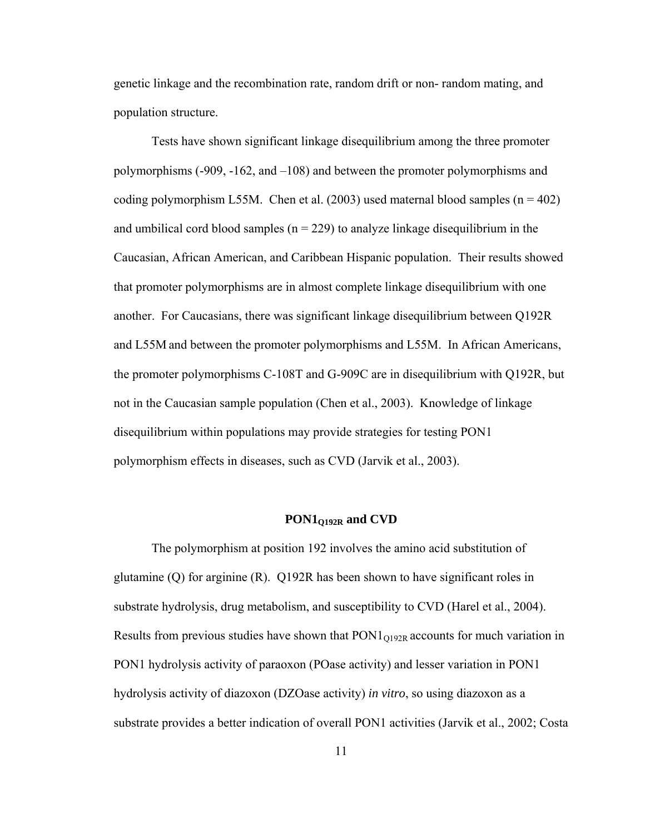genetic linkage and the recombination rate, random drift or non- random mating, and population structure.

 Tests have shown significant linkage disequilibrium among the three promoter polymorphisms (-909, -162, and –108) and between the promoter polymorphisms and coding polymorphism L55M. Chen et al. (2003) used maternal blood samples ( $n = 402$ ) and umbilical cord blood samples ( $n = 229$ ) to analyze linkage disequilibrium in the Caucasian, African American, and Caribbean Hispanic population. Their results showed that promoter polymorphisms are in almost complete linkage disequilibrium with one another. For Caucasians, there was significant linkage disequilibrium between Q192R and L55M and between the promoter polymorphisms and L55M. In African Americans, the promoter polymorphisms C-108T and G-909C are in disequilibrium with Q192R, but not in the Caucasian sample population (Chen et al., 2003). Knowledge of linkage disequilibrium within populations may provide strategies for testing PON1 polymorphism effects in diseases, such as CVD (Jarvik et al., 2003).

# **PON1Q192R and CVD**

The polymorphism at position 192 involves the amino acid substitution of glutamine (Q) for arginine (R). Q192R has been shown to have significant roles in substrate hydrolysis, drug metabolism, and susceptibility to CVD (Harel et al., 2004). Results from previous studies have shown that  $PON1<sub>O192R</sub>$  accounts for much variation in PON1 hydrolysis activity of paraoxon (POase activity) and lesser variation in PON1 hydrolysis activity of diazoxon (DZOase activity) *in vitro*, so using diazoxon as a substrate provides a better indication of overall PON1 activities (Jarvik et al., 2002; Costa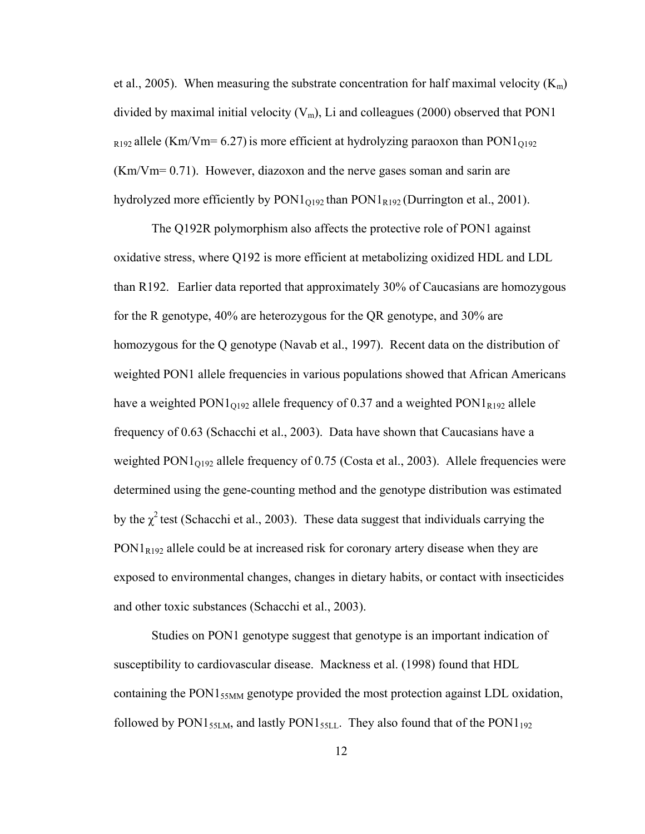et al., 2005). When measuring the substrate concentration for half maximal velocity  $(K_m)$ divided by maximal initial velocity  $(V_m)$ , Li and colleagues (2000) observed that PON1  $_{R192}$  allele (Km/Vm= 6.27) is more efficient at hydrolyzing paraoxon than PON1<sub>0192</sub> (Km/Vm= 0.71). However, diazoxon and the nerve gases soman and sarin are hydrolyzed more efficiently by  $PON1<sub>O192</sub>$  than  $PON1<sub>R192</sub>$  (Durrington et al., 2001).

The Q192R polymorphism also affects the protective role of PON1 against oxidative stress, where Q192 is more efficient at metabolizing oxidized HDL and LDL than R192. Earlier data reported that approximately 30% of Caucasians are homozygous for the R genotype, 40% are heterozygous for the QR genotype, and 30% are homozygous for the Q genotype (Navab et al., 1997). Recent data on the distribution of weighted PON1 allele frequencies in various populations showed that African Americans have a weighted  $PON1<sub>O192</sub>$  allele frequency of 0.37 and a weighted  $PON1<sub>R192</sub>$  allele frequency of 0.63 (Schacchi et al., 2003). Data have shown that Caucasians have a weighted  $PON1<sub>0192</sub>$  allele frequency of 0.75 (Costa et al., 2003). Allele frequencies were determined using the gene-counting method and the genotype distribution was estimated by the  $\chi^2$  test (Schacchi et al., 2003). These data suggest that individuals carrying the  $PON1<sub>R192</sub>$  allele could be at increased risk for coronary artery disease when they are exposed to environmental changes, changes in dietary habits, or contact with insecticides and other toxic substances (Schacchi et al., 2003).

Studies on PON1 genotype suggest that genotype is an important indication of susceptibility to cardiovascular disease. Mackness et al. (1998) found that HDL containing the PON1<sub>55MM</sub> genotype provided the most protection against LDL oxidation, followed by PON1 $_{55LM}$ , and lastly PON1 $_{55LL}$ . They also found that of the PON1 $_{192}$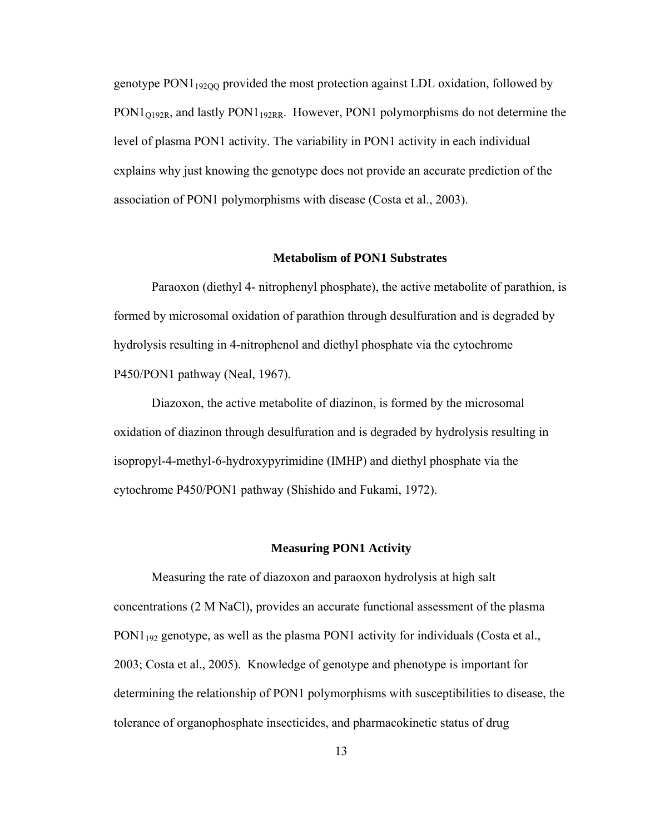genotype PON1<sub>192QQ</sub> provided the most protection against LDL oxidation, followed by  $PON1<sub>O192R</sub>$ , and lastly PON1<sub>192RR</sub>. However, PON1 polymorphisms do not determine the level of plasma PON1 activity. The variability in PON1 activity in each individual explains why just knowing the genotype does not provide an accurate prediction of the association of PON1 polymorphisms with disease (Costa et al., 2003).

#### **Metabolism of PON1 Substrates**

 Paraoxon (diethyl 4- nitrophenyl phosphate), the active metabolite of parathion, is formed by microsomal oxidation of parathion through desulfuration and is degraded by hydrolysis resulting in 4-nitrophenol and diethyl phosphate via the cytochrome P450/PON1 pathway (Neal, 1967).

Diazoxon, the active metabolite of diazinon, is formed by the microsomal oxidation of diazinon through desulfuration and is degraded by hydrolysis resulting in isopropyl-4-methyl-6-hydroxypyrimidine (IMHP) and diethyl phosphate via the cytochrome P450/PON1 pathway (Shishido and Fukami, 1972).

#### **Measuring PON1 Activity**

Measuring the rate of diazoxon and paraoxon hydrolysis at high salt concentrations (2 M NaCl), provides an accurate functional assessment of the plasma  $PON1_{192}$  genotype, as well as the plasma PON1 activity for individuals (Costa et al., 2003; Costa et al., 2005). Knowledge of genotype and phenotype is important for determining the relationship of PON1 polymorphisms with susceptibilities to disease, the tolerance of organophosphate insecticides, and pharmacokinetic status of drug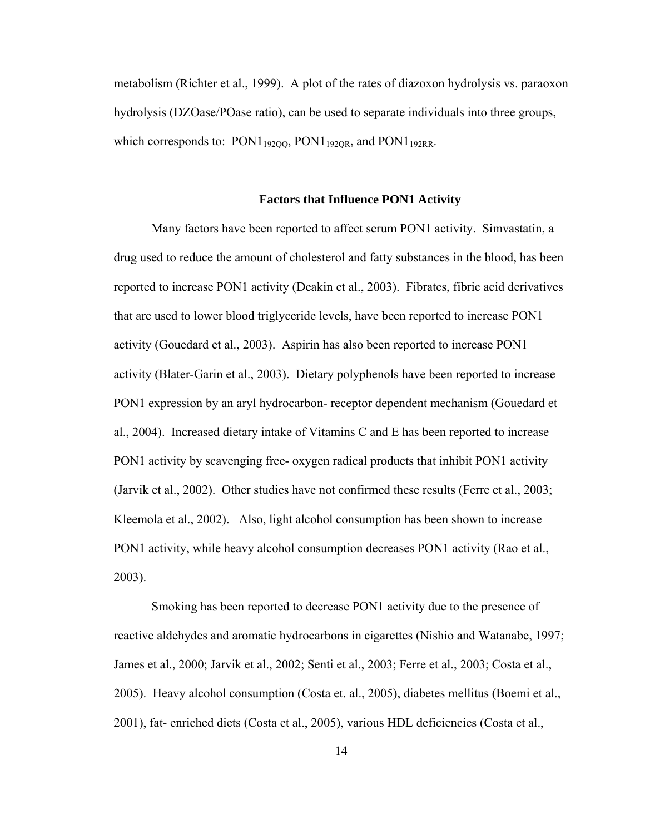metabolism (Richter et al., 1999). A plot of the rates of diazoxon hydrolysis vs. paraoxon hydrolysis (DZOase/POase ratio), can be used to separate individuals into three groups, which corresponds to:  $PON1_{19200}$ ,  $PON1_{1920R}$ , and  $PON1_{192RR}$ .

#### **Factors that Influence PON1 Activity**

Many factors have been reported to affect serum PON1 activity. Simvastatin, a drug used to reduce the amount of cholesterol and fatty substances in the blood, has been reported to increase PON1 activity (Deakin et al., 2003). Fibrates, fibric acid derivatives that are used to lower blood triglyceride levels, have been reported to increase PON1 activity (Gouedard et al., 2003). Aspirin has also been reported to increase PON1 activity (Blater-Garin et al., 2003). Dietary polyphenols have been reported to increase PON1 expression by an aryl hydrocarbon- receptor dependent mechanism (Gouedard et al., 2004). Increased dietary intake of Vitamins C and E has been reported to increase PON1 activity by scavenging free- oxygen radical products that inhibit PON1 activity (Jarvik et al., 2002). Other studies have not confirmed these results (Ferre et al., 2003; Kleemola et al., 2002). Also, light alcohol consumption has been shown to increase PON1 activity, while heavy alcohol consumption decreases PON1 activity (Rao et al., 2003).

Smoking has been reported to decrease PON1 activity due to the presence of reactive aldehydes and aromatic hydrocarbons in cigarettes (Nishio and Watanabe, 1997; James et al., 2000; Jarvik et al., 2002; Senti et al., 2003; Ferre et al., 2003; Costa et al., 2005). Heavy alcohol consumption (Costa et. al., 2005), diabetes mellitus (Boemi et al., 2001), fat- enriched diets (Costa et al., 2005), various HDL deficiencies (Costa et al.,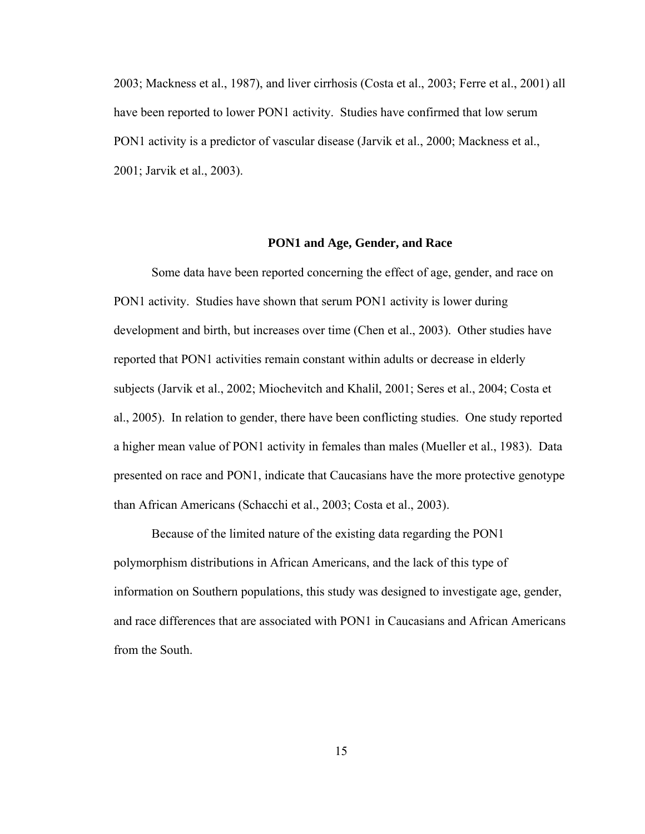2003; Mackness et al., 1987), and liver cirrhosis (Costa et al., 2003; Ferre et al., 2001) all have been reported to lower PON1 activity. Studies have confirmed that low serum PON1 activity is a predictor of vascular disease (Jarvik et al., 2000; Mackness et al., 2001; Jarvik et al., 2003).

#### **PON1 and Age, Gender, and Race**

Some data have been reported concerning the effect of age, gender, and race on PON1 activity. Studies have shown that serum PON1 activity is lower during development and birth, but increases over time (Chen et al., 2003). Other studies have reported that PON1 activities remain constant within adults or decrease in elderly subjects (Jarvik et al., 2002; Miochevitch and Khalil, 2001; Seres et al., 2004; Costa et al., 2005). In relation to gender, there have been conflicting studies. One study reported a higher mean value of PON1 activity in females than males (Mueller et al., 1983). Data presented on race and PON1, indicate that Caucasians have the more protective genotype than African Americans (Schacchi et al., 2003; Costa et al., 2003).

Because of the limited nature of the existing data regarding the PON1 polymorphism distributions in African Americans, and the lack of this type of information on Southern populations, this study was designed to investigate age, gender, and race differences that are associated with PON1 in Caucasians and African Americans from the South.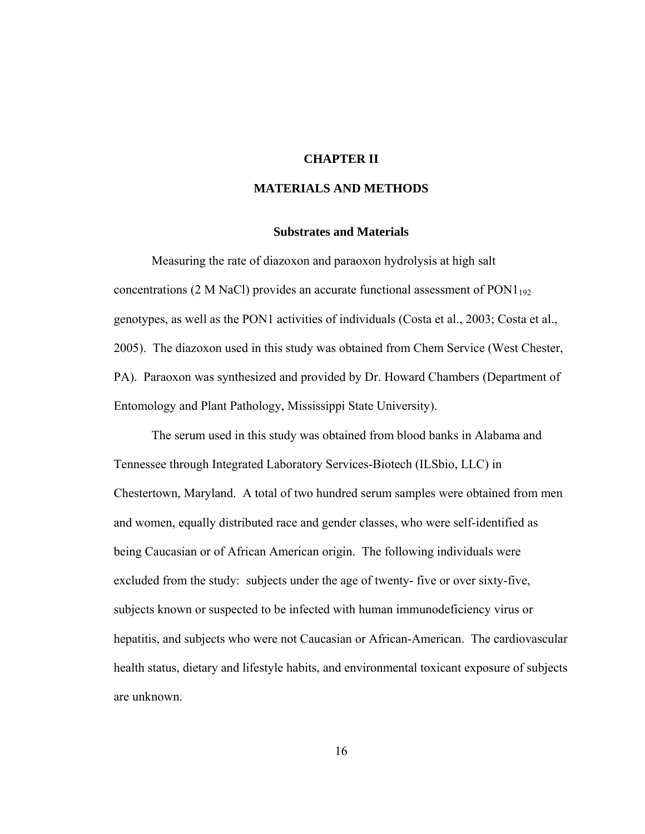### **CHAPTER II**

# **MATERIALS AND METHODS**

# **Substrates and Materials**

Measuring the rate of diazoxon and paraoxon hydrolysis at high salt concentrations (2 M NaCl) provides an accurate functional assessment of  $PON1_{192}$ genotypes, as well as the PON1 activities of individuals (Costa et al., 2003; Costa et al., 2005). The diazoxon used in this study was obtained from Chem Service (West Chester, PA). Paraoxon was synthesized and provided by Dr. Howard Chambers (Department of Entomology and Plant Pathology, Mississippi State University).

The serum used in this study was obtained from blood banks in Alabama and Tennessee through Integrated Laboratory Services-Biotech (ILSbio, LLC) in Chestertown, Maryland. A total of two hundred serum samples were obtained from men and women, equally distributed race and gender classes, who were self-identified as being Caucasian or of African American origin. The following individuals were excluded from the study: subjects under the age of twenty- five or over sixty-five, subjects known or suspected to be infected with human immunodeficiency virus or hepatitis, and subjects who were not Caucasian or African-American. The cardiovascular health status, dietary and lifestyle habits, and environmental toxicant exposure of subjects are unknown.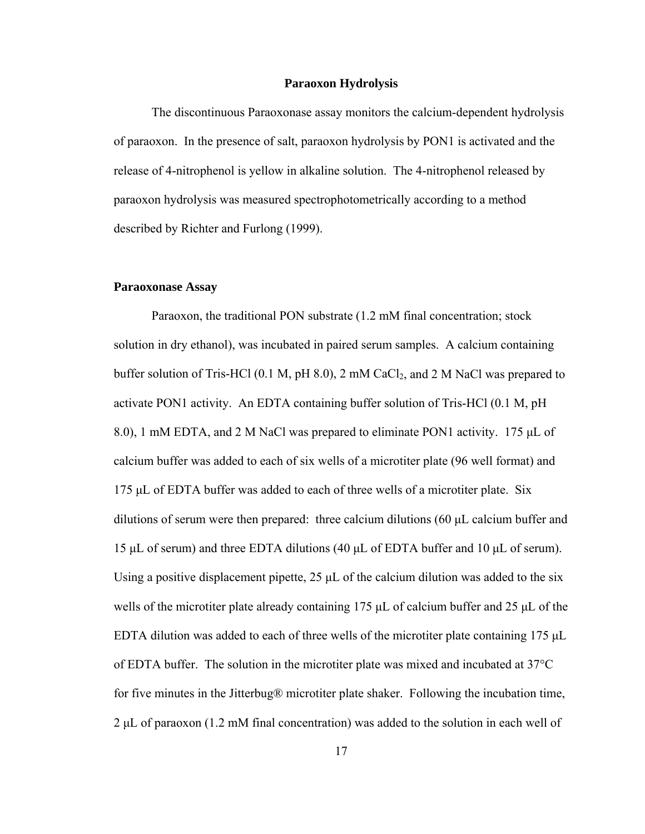#### **Paraoxon Hydrolysis**

The discontinuous Paraoxonase assay monitors the calcium-dependent hydrolysis of paraoxon. In the presence of salt, paraoxon hydrolysis by PON1 is activated and the release of 4-nitrophenol is yellow in alkaline solution. The 4-nitrophenol released by paraoxon hydrolysis was measured spectrophotometrically according to a method described by Richter and Furlong (1999).

#### **Paraoxonase Assay**

Paraoxon, the traditional PON substrate (1.2 mM final concentration; stock solution in dry ethanol), was incubated in paired serum samples. A calcium containing buffer solution of Tris-HCl  $(0.1 \text{ M}, \text{pH} 8.0)$ , 2 mM CaCl<sub>2</sub>, and 2 M NaCl was prepared to activate PON1 activity. An EDTA containing buffer solution of Tris-HCl (0.1 M, pH 8.0), 1 mM EDTA, and 2 M NaCl was prepared to eliminate PON1 activity. 175 μL of calcium buffer was added to each of six wells of a microtiter plate (96 well format) and 175 μL of EDTA buffer was added to each of three wells of a microtiter plate. Six dilutions of serum were then prepared: three calcium dilutions (60 μL calcium buffer and 15 μL of serum) and three EDTA dilutions (40 μL of EDTA buffer and 10 μL of serum). Using a positive displacement pipette, 25  $\mu$ L of the calcium dilution was added to the six wells of the microtiter plate already containing 175  $\mu$ L of calcium buffer and 25  $\mu$ L of the EDTA dilution was added to each of three wells of the microtiter plate containing 175 μL of EDTA buffer. The solution in the microtiter plate was mixed and incubated at 37°C for five minutes in the Jitterbug® microtiter plate shaker. Following the incubation time, 2 μL of paraoxon (1.2 mM final concentration) was added to the solution in each well of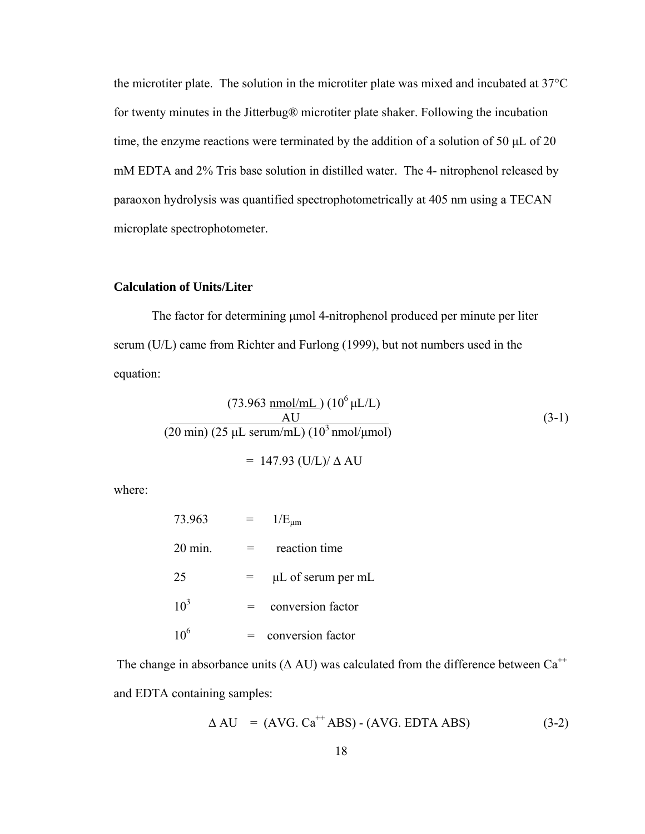the microtiter plate. The solution in the microtiter plate was mixed and incubated at 37°C for twenty minutes in the Jitterbug® microtiter plate shaker. Following the incubation time, the enzyme reactions were terminated by the addition of a solution of 50 μL of 20 mM EDTA and 2% Tris base solution in distilled water. The 4- nitrophenol released by paraoxon hydrolysis was quantified spectrophotometrically at 405 nm using a TECAN microplate spectrophotometer.

#### **Calculation of Units/Liter**

The factor for determining μmol 4-nitrophenol produced per minute per liter serum (U/L) came from Richter and Furlong (1999), but not numbers used in the equation:

$$
(73.963 \frac{\text{nmol/mL}}{\text{AU}}) (10^6 \mu \text{L/L})
$$
  
\n
$$
(20 \text{ min}) (25 \mu \text{L serum/mL}) (10^3 \text{nmol/µmol})
$$
  
\n= 147.93 (U/L)/  $\Delta$  AU

where:

| 73.963           | $1/E_{\mu m}$      |
|------------------|--------------------|
| $20 \text{ min}$ | reaction time      |
| 25               | µL of serum per mL |
| $10^3$           | conversion factor  |
| 10 <sup>6</sup>  | conversion factor  |

The change in absorbance units ( $\Delta$  AU) was calculated from the difference between Ca<sup>++</sup> and EDTA containing samples:

$$
\Delta \text{AU} = (\text{AVG. Ca}^{++} \text{ABS}) - (\text{AVG. EDTA ABS}) \tag{3-2}
$$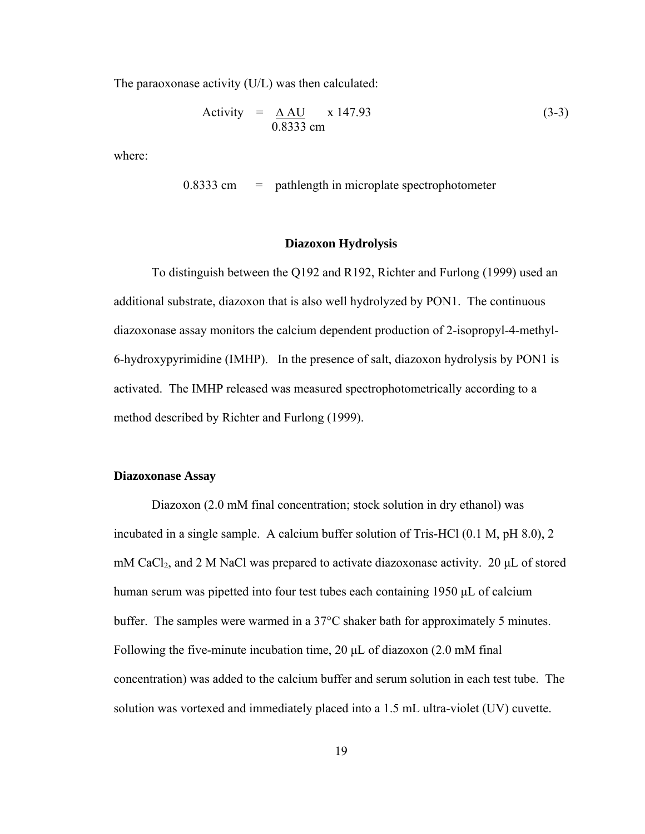The paraoxonase activity (U/L) was then calculated:

Activity 
$$
= \underline{\Delta \text{ AU}} \times 147.93
$$
 (3-3)

where:

 $0.8333$  cm  $=$  pathlength in microplate spectrophotometer

#### **Diazoxon Hydrolysis**

To distinguish between the Q192 and R192, Richter and Furlong (1999) used an additional substrate, diazoxon that is also well hydrolyzed by PON1. The continuous diazoxonase assay monitors the calcium dependent production of 2-isopropyl-4-methyl-6-hydroxypyrimidine (IMHP). In the presence of salt, diazoxon hydrolysis by PON1 is activated. The IMHP released was measured spectrophotometrically according to a method described by Richter and Furlong (1999).

#### **Diazoxonase Assay**

Diazoxon (2.0 mM final concentration; stock solution in dry ethanol) was incubated in a single sample. A calcium buffer solution of Tris-HCl (0.1 M, pH 8.0), 2 mM CaCl<sub>2</sub>, and 2 M NaCl was prepared to activate diazoxonase activity. 20  $\mu$ L of stored human serum was pipetted into four test tubes each containing 1950 μL of calcium buffer. The samples were warmed in a 37°C shaker bath for approximately 5 minutes. Following the five-minute incubation time, 20 μL of diazoxon (2.0 mM final concentration) was added to the calcium buffer and serum solution in each test tube. The solution was vortexed and immediately placed into a 1.5 mL ultra-violet (UV) cuvette.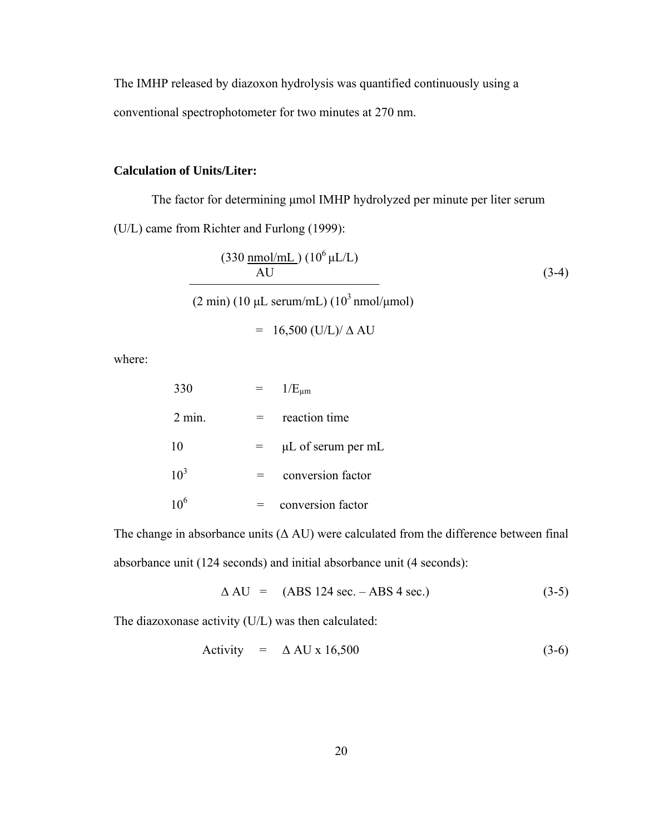The IMHP released by diazoxon hydrolysis was quantified continuously using a conventional spectrophotometer for two minutes at 270 nm.

# **Calculation of Units/Liter:**

The factor for determining μmol IMHP hydrolyzed per minute per liter serum (U/L) came from Richter and Furlong (1999):

$$
\frac{\text{(330 \, \text{mmol/mL})}}{\text{AU}} \left(10^6 \, \mu\text{L/L}\right) \tag{3-4}
$$

(2 min) (10 μL serum/mL) (10<sup>3</sup> nmol/μmol)

$$
= 16,500 (U/L)/ \Delta AU
$$

where:

| 330      | $1/E_{\mu m}$           |
|----------|-------------------------|
| $2$ min. | reaction time           |
| 10       | $\mu$ L of serum per mL |
| $10^3$   | conversion factor       |
|          | conversion factor       |

The change in absorbance units  $(Δ AU)$  were calculated from the difference between final absorbance unit (124 seconds) and initial absorbance unit (4 seconds):

$$
\Delta \text{AU} = (\text{ABS } 124 \text{ sec.} - \text{ABS } 4 \text{ sec.}) \tag{3-5}
$$

The diazoxonase activity (U/L) was then calculated:

Activity = 
$$
\triangle
$$
 AU x 16,500 (3-6)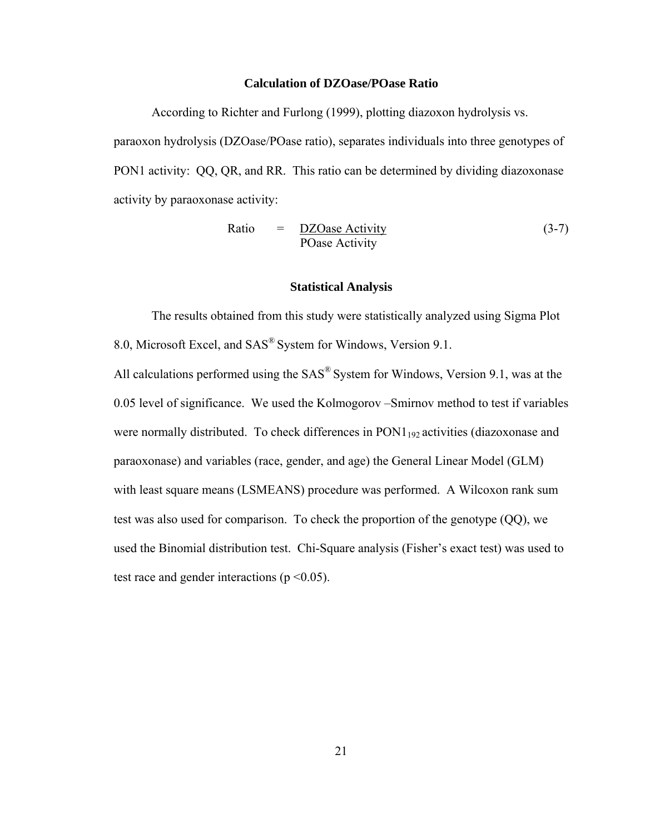#### **Calculation of DZOase/POase Ratio**

According to Richter and Furlong (1999), plotting diazoxon hydrolysis vs. paraoxon hydrolysis (DZOase/POase ratio), separates individuals into three genotypes of PON1 activity: QQ, QR, and RR. This ratio can be determined by dividing diazoxonase activity by paraoxonase activity:

Ratio = 
$$
\frac{DZOase Activity}{POase Activity}
$$
 (3-7)

#### **Statistical Analysis**

The results obtained from this study were statistically analyzed using Sigma Plot 8.0, Microsoft Excel, and SAS® System for Windows, Version 9.1.

All calculations performed using the SAS® System for Windows, Version 9.1, was at the 0.05 level of significance. We used the Kolmogorov –Smirnov method to test if variables were normally distributed. To check differences in PON1<sub>192</sub> activities (diazoxonase and paraoxonase) and variables (race, gender, and age) the General Linear Model (GLM) with least square means (LSMEANS) procedure was performed. A Wilcoxon rank sum test was also used for comparison. To check the proportion of the genotype (QQ), we used the Binomial distribution test. Chi-Square analysis (Fisher's exact test) was used to test race and gender interactions ( $p \le 0.05$ ).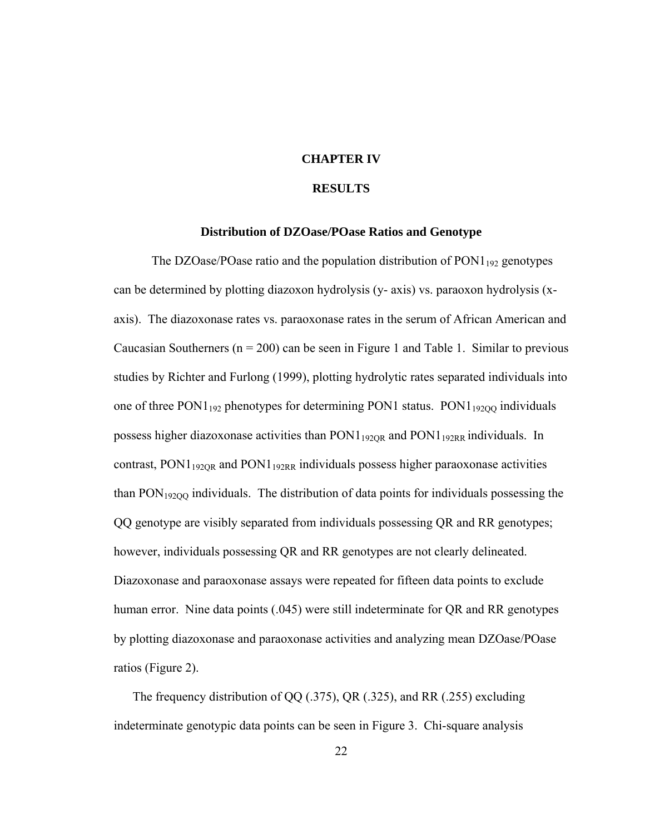### **CHAPTER IV**

### **RESULTS**

#### **Distribution of DZOase/POase Ratios and Genotype**

The DZOase/POase ratio and the population distribution of  $PON1_{192}$  genotypes can be determined by plotting diazoxon hydrolysis (y- axis) vs. paraoxon hydrolysis (xaxis). The diazoxonase rates vs. paraoxonase rates in the serum of African American and Caucasian Southerners ( $n = 200$ ) can be seen in Figure 1 and Table 1. Similar to previous studies by Richter and Furlong (1999), plotting hydrolytic rates separated individuals into one of three  $PON1_{192}$  phenotypes for determining  $PON1$  status.  $PON1_{19200}$  individuals possess higher diazoxonase activities than  $PON1_{192OR}$  and  $PON1_{192RR}$  individuals. In contrast,  $PON1_{192OR}$  and  $PON1_{192RR}$  individuals possess higher paraoxonase activities than  $PON<sub>19200</sub>$  individuals. The distribution of data points for individuals possessing the QQ genotype are visibly separated from individuals possessing QR and RR genotypes; however, individuals possessing QR and RR genotypes are not clearly delineated. Diazoxonase and paraoxonase assays were repeated for fifteen data points to exclude human error. Nine data points (.045) were still indeterminate for QR and RR genotypes by plotting diazoxonase and paraoxonase activities and analyzing mean DZOase/POase ratios (Figure 2).

The frequency distribution of QQ (.375), QR (.325), and RR (.255) excluding indeterminate genotypic data points can be seen in Figure 3. Chi-square analysis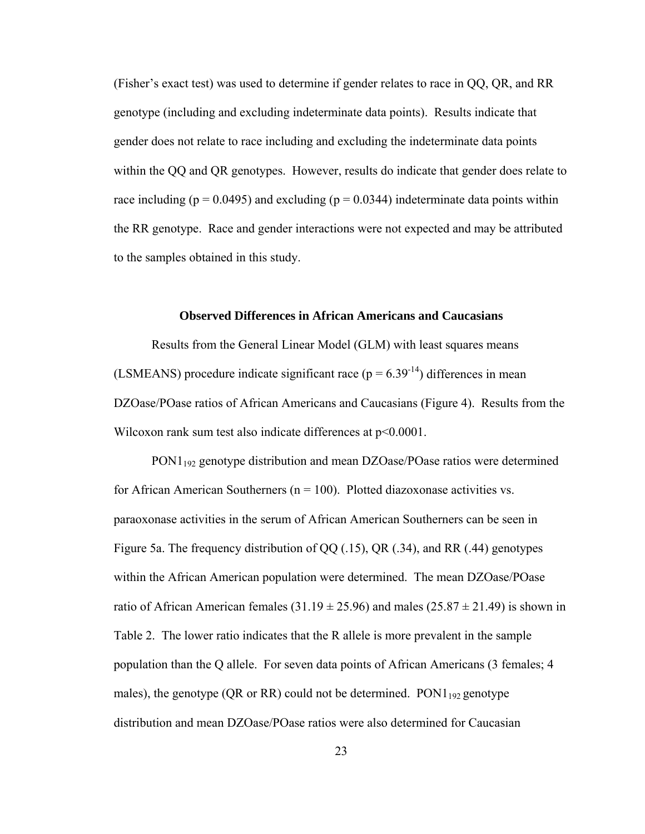(Fisher's exact test) was used to determine if gender relates to race in QQ, QR, and RR genotype (including and excluding indeterminate data points). Results indicate that gender does not relate to race including and excluding the indeterminate data points within the QQ and QR genotypes. However, results do indicate that gender does relate to race including ( $p = 0.0495$ ) and excluding ( $p = 0.0344$ ) indeterminate data points within the RR genotype. Race and gender interactions were not expected and may be attributed to the samples obtained in this study.

#### **Observed Differences in African Americans and Caucasians**

Results from the General Linear Model (GLM) with least squares means (LSMEANS) procedure indicate significant race ( $p = 6.39<sup>-14</sup>$ ) differences in mean DZOase/POase ratios of African Americans and Caucasians (Figure 4). Results from the Wilcoxon rank sum test also indicate differences at  $p<0.0001$ .

PON1192 genotype distribution and mean DZOase/POase ratios were determined for African American Southerners ( $n = 100$ ). Plotted diazoxonase activities vs. paraoxonase activities in the serum of African American Southerners can be seen in Figure 5a. The frequency distribution of QQ (.15), QR (.34), and RR (.44) genotypes within the African American population were determined. The mean DZOase/POase ratio of African American females  $(31.19 \pm 25.96)$  and males  $(25.87 \pm 21.49)$  is shown in Table 2. The lower ratio indicates that the R allele is more prevalent in the sample population than the Q allele. For seven data points of African Americans (3 females; 4 males), the genotype (QR or RR) could not be determined.  $PON1_{192}$  genotype distribution and mean DZOase/POase ratios were also determined for Caucasian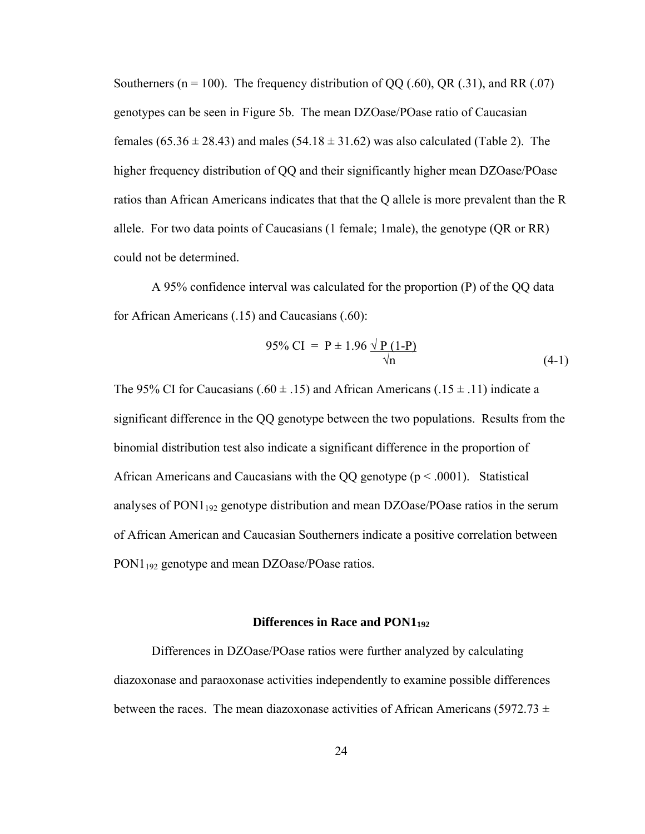Southerners ( $n = 100$ ). The frequency distribution of QQ (.60), QR (.31), and RR (.07) genotypes can be seen in Figure 5b. The mean DZOase/POase ratio of Caucasian females  $(65.36 \pm 28.43)$  and males  $(54.18 \pm 31.62)$  was also calculated (Table 2). The higher frequency distribution of QQ and their significantly higher mean DZOase/POase ratios than African Americans indicates that that the Q allele is more prevalent than the R allele. For two data points of Caucasians (1 female; 1male), the genotype (QR or RR) could not be determined.

 A 95% confidence interval was calculated for the proportion (P) of the QQ data for African Americans (.15) and Caucasians (.60):

$$
95\% \text{ CI} = P \pm 1.96 \frac{\sqrt{P (1-P)}}{\sqrt{n}} \tag{4-1}
$$

The 95% CI for Caucasians (.60  $\pm$  .15) and African Americans (.15  $\pm$  .11) indicate a significant difference in the QQ genotype between the two populations. Results from the binomial distribution test also indicate a significant difference in the proportion of African Americans and Caucasians with the QQ genotype  $(p < .0001)$ . Statistical analyses of PON1<sub>192</sub> genotype distribution and mean DZOase/POase ratios in the serum of African American and Caucasian Southerners indicate a positive correlation between PON1<sub>192</sub> genotype and mean DZOase/POase ratios.

### **Differences in Race and PON1192**

Differences in DZOase/POase ratios were further analyzed by calculating diazoxonase and paraoxonase activities independently to examine possible differences between the races. The mean diazoxonase activities of African Americans (5972.73  $\pm$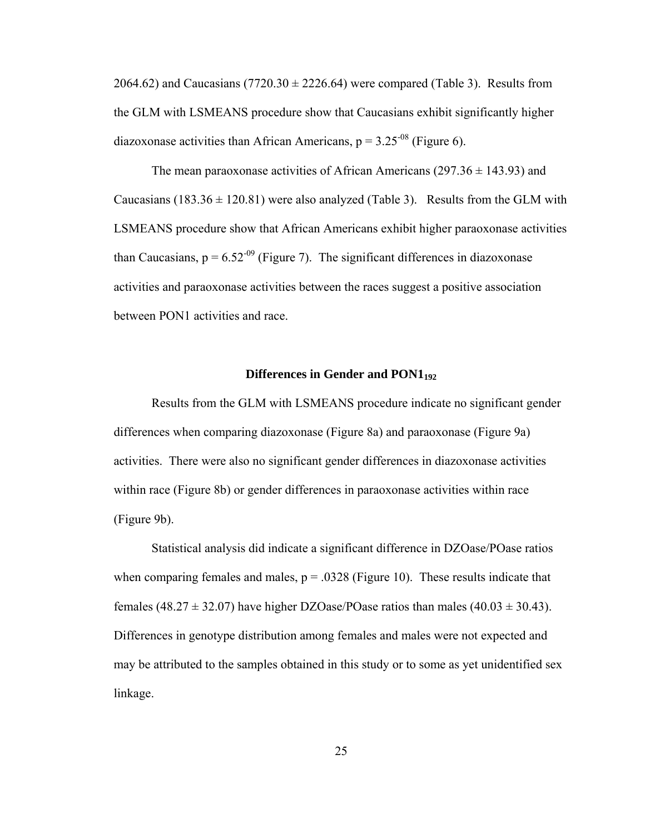2064.62) and Caucasians (7720.30  $\pm$  2226.64) were compared (Table 3). Results from the GLM with LSMEANS procedure show that Caucasians exhibit significantly higher diazoxonase activities than African Americans,  $p = 3.25<sup>-08</sup>$  (Figure 6).

The mean paraoxonase activities of African Americans ( $297.36 \pm 143.93$ ) and Caucasians (183.36  $\pm$  120.81) were also analyzed (Table 3). Results from the GLM with LSMEANS procedure show that African Americans exhibit higher paraoxonase activities than Caucasians,  $p = 6.52<sup>-09</sup>$  (Figure 7). The significant differences in diazoxonase activities and paraoxonase activities between the races suggest a positive association between PON1 activities and race.

#### **Differences in Gender and PON1192**

Results from the GLM with LSMEANS procedure indicate no significant gender differences when comparing diazoxonase (Figure 8a) and paraoxonase (Figure 9a) activities. There were also no significant gender differences in diazoxonase activities within race (Figure 8b) or gender differences in paraoxonase activities within race (Figure 9b).

Statistical analysis did indicate a significant difference in DZOase/POase ratios when comparing females and males,  $p = 0.0328$  (Figure 10). These results indicate that females (48.27  $\pm$  32.07) have higher DZOase/POase ratios than males (40.03  $\pm$  30.43). Differences in genotype distribution among females and males were not expected and may be attributed to the samples obtained in this study or to some as yet unidentified sex linkage.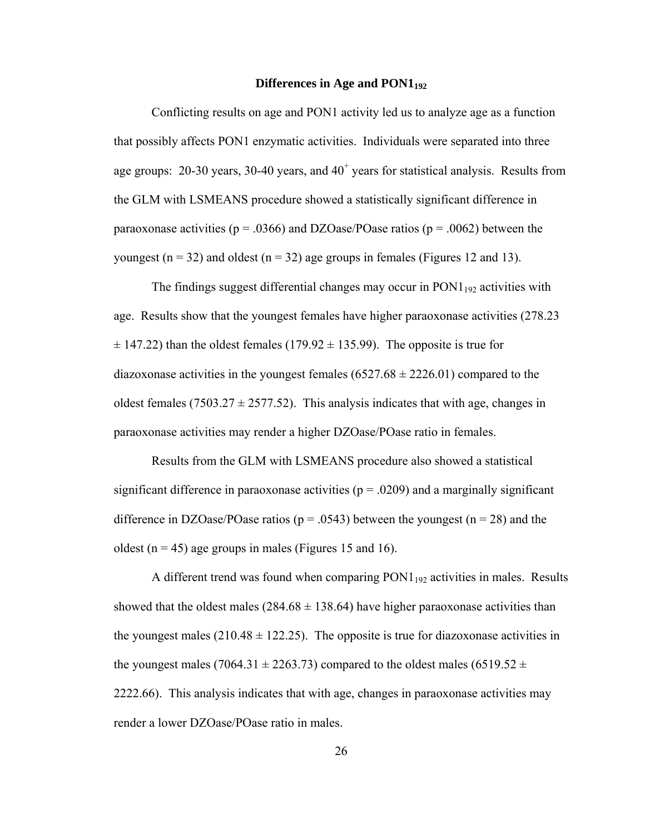#### **Differences in Age and PON1192**

Conflicting results on age and PON1 activity led us to analyze age as a function that possibly affects PON1 enzymatic activities. Individuals were separated into three age groups:  $20-30$  years,  $30-40$  years, and  $40<sup>+</sup>$  years for statistical analysis. Results from the GLM with LSMEANS procedure showed a statistically significant difference in paraoxonase activities ( $p = .0366$ ) and DZOase/POase ratios ( $p = .0062$ ) between the youngest ( $n = 32$ ) and oldest ( $n = 32$ ) age groups in females (Figures 12 and 13).

The findings suggest differential changes may occur in  $PON1_{192}$  activities with age. Results show that the youngest females have higher paraoxonase activities (278.23  $\pm$  147.22) than the oldest females (179.92  $\pm$  135.99). The opposite is true for diazoxonase activities in the youngest females  $(6527.68 \pm 2226.01)$  compared to the oldest females (7503.27  $\pm$  2577.52). This analysis indicates that with age, changes in paraoxonase activities may render a higher DZOase/POase ratio in females.

 Results from the GLM with LSMEANS procedure also showed a statistical significant difference in paraoxonase activities ( $p = .0209$ ) and a marginally significant difference in DZOase/POase ratios ( $p = .0543$ ) between the youngest ( $n = 28$ ) and the oldest ( $n = 45$ ) age groups in males (Figures 15 and 16).

A different trend was found when comparing  $PON1_{192}$  activities in males. Results showed that the oldest males  $(284.68 \pm 138.64)$  have higher paraoxonase activities than the youngest males  $(210.48 \pm 122.25)$ . The opposite is true for diazoxonase activities in the youngest males (7064.31  $\pm$  2263.73) compared to the oldest males (6519.52  $\pm$ 2222.66). This analysis indicates that with age, changes in paraoxonase activities may render a lower DZOase/POase ratio in males.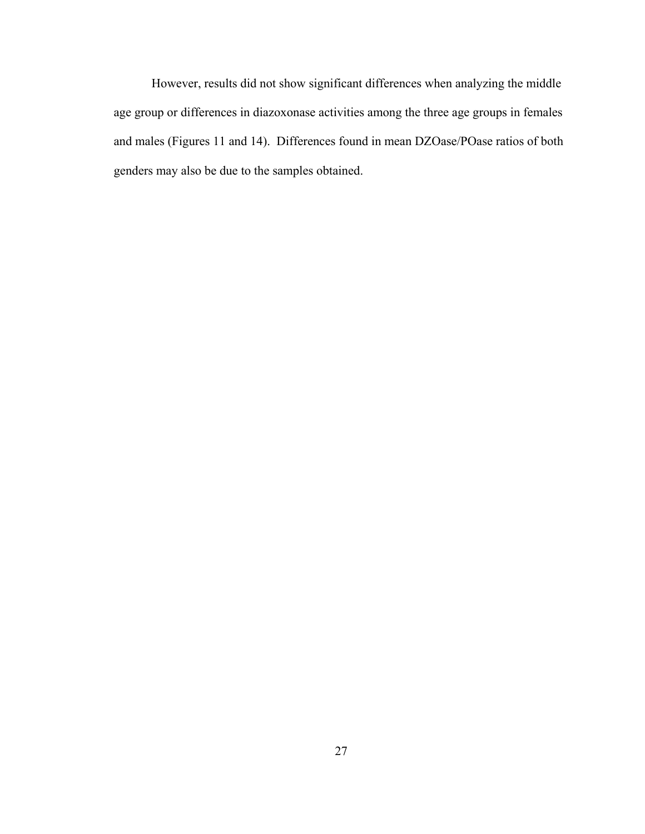However, results did not show significant differences when analyzing the middle age group or differences in diazoxonase activities among the three age groups in females and males (Figures 11 and 14). Differences found in mean DZOase/POase ratios of both genders may also be due to the samples obtained.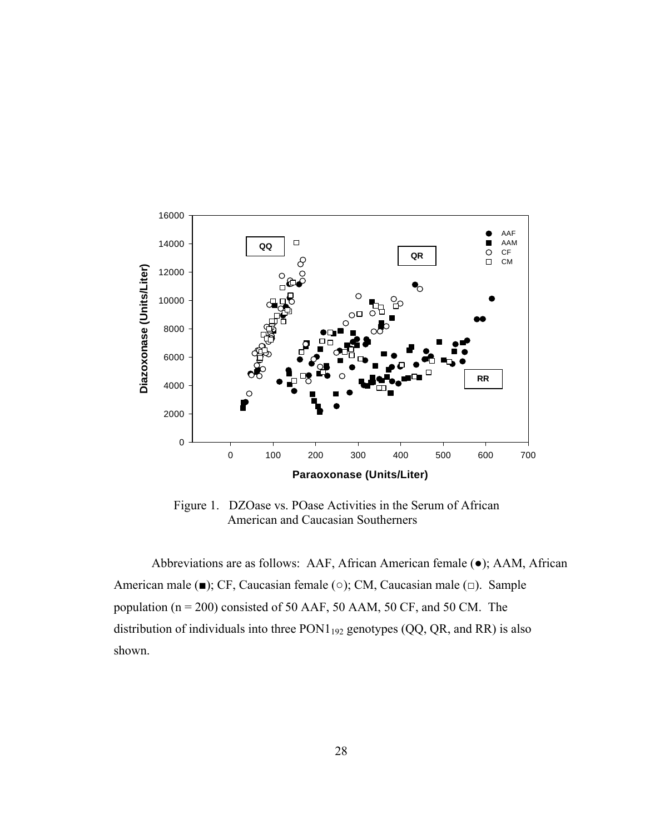

 Figure 1. DZOase vs. POase Activities in the Serum of African American and Caucasian Southerners

Abbreviations are as follows: AAF, African American female (●); AAM, African American male (■); CF, Caucasian female (○); CM, Caucasian male (□). Sample population (n = 200) consisted of 50 AAF, 50 AAM, 50 CF, and 50 CM. The distribution of individuals into three  $PON1_{192}$  genotypes (QQ, QR, and RR) is also shown.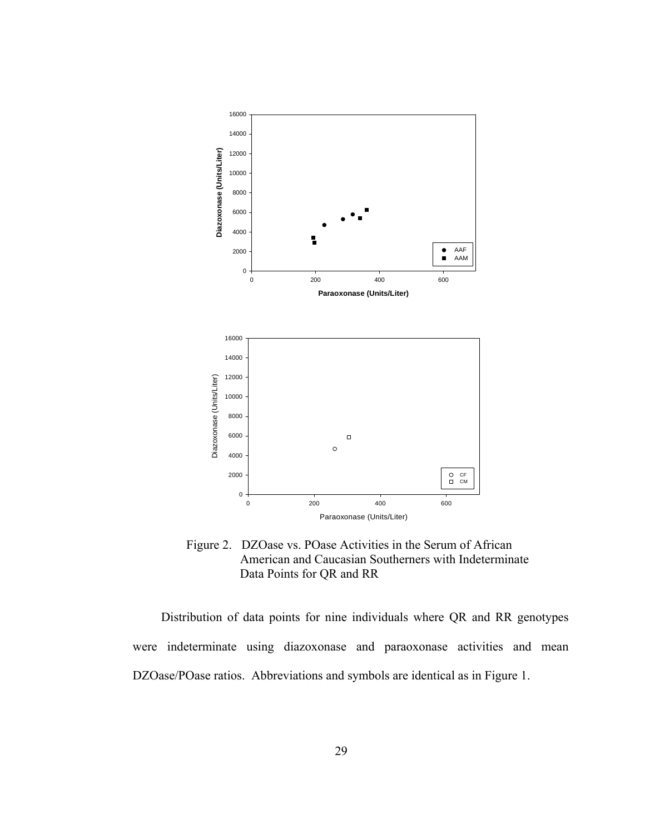

 Figure 2. DZOase vs. POase Activities in the Serum of African American and Caucasian Southerners with Indeterminate Data Points for QR and RR

Distribution of data points for nine individuals where QR and RR genotypes were indeterminate using diazoxonase and paraoxonase activities and mean DZOase/POase ratios. Abbreviations and symbols are identical as in Figure 1.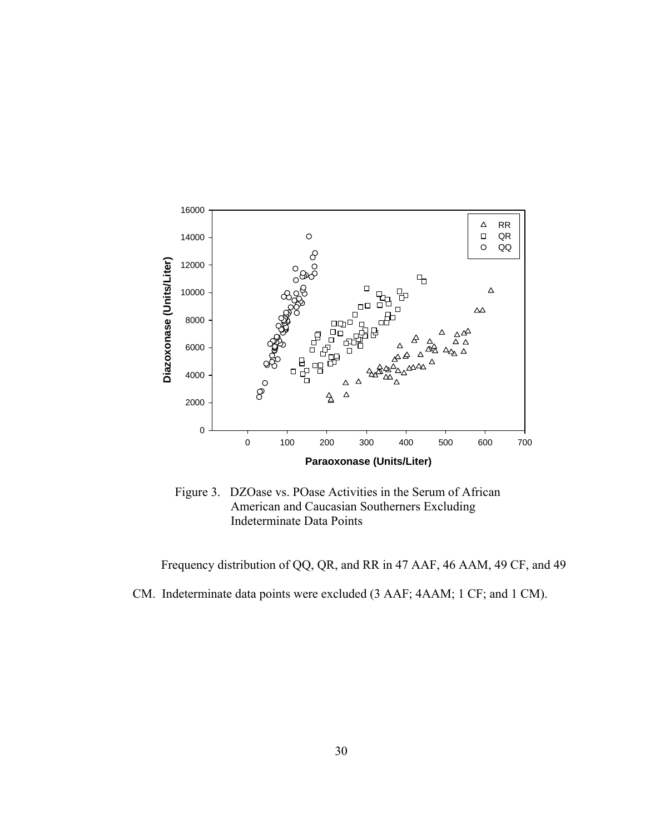

 Figure 3. DZOase vs. POase Activities in the Serum of African American and Caucasian Southerners Excluding Indeterminate Data Points

Frequency distribution of QQ, QR, and RR in 47 AAF, 46 AAM, 49 CF, and 49 CM. Indeterminate data points were excluded (3 AAF; 4AAM; 1 CF; and 1 CM).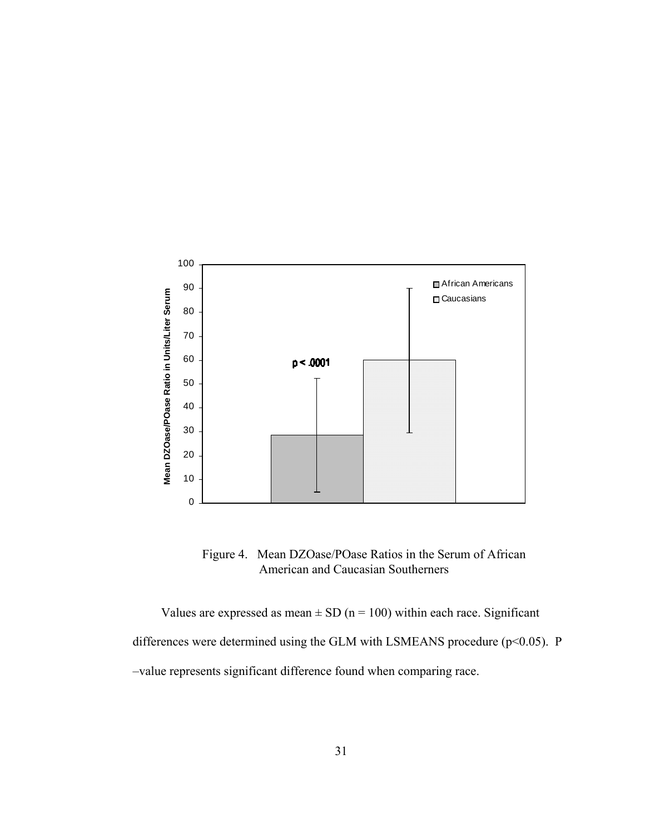

 Figure 4. Mean DZOase/POase Ratios in the Serum of African American and Caucasian Southerners

Values are expressed as mean  $\pm$  SD (n = 100) within each race. Significant differences were determined using the GLM with LSMEANS procedure ( $p$ <0.05). P –value represents significant difference found when comparing race.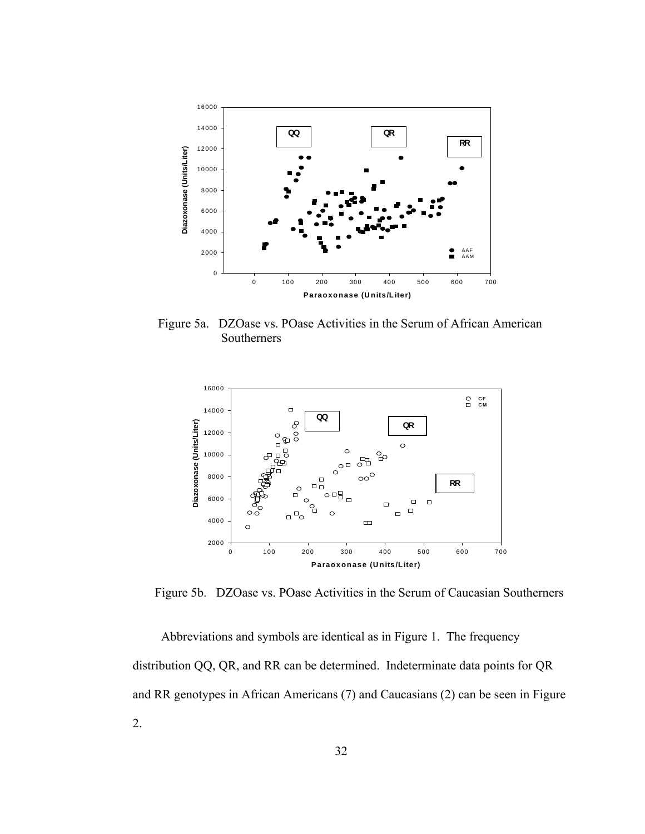

 Figure 5a. DZOase vs. POase Activities in the Serum of African American Southerners



Figure 5b. DZOase vs. POase Activities in the Serum of Caucasian Southerners

Abbreviations and symbols are identical as in Figure 1. The frequency distribution QQ, QR, and RR can be determined. Indeterminate data points for QR and RR genotypes in African Americans (7) and Caucasians (2) can be seen in Figure 2.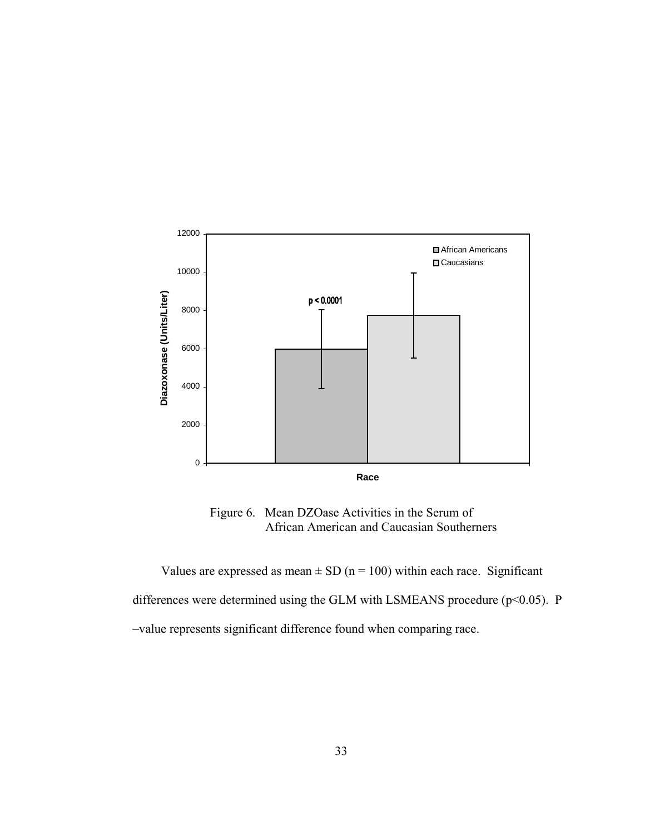

 Figure 6. Mean DZOase Activities in the Serum of African American and Caucasian Southerners

Values are expressed as mean  $\pm$  SD (n = 100) within each race. Significant differences were determined using the GLM with LSMEANS procedure ( $p$ <0.05). P –value represents significant difference found when comparing race.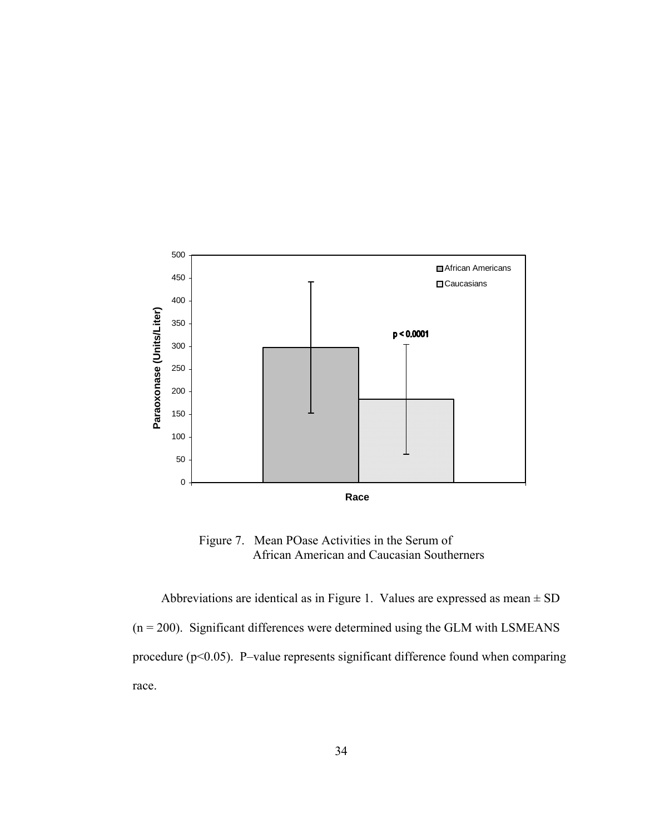

 Figure 7. Mean POase Activities in the Serum of African American and Caucasian Southerners

Abbreviations are identical as in Figure 1. Values are expressed as mean  $\pm$  SD  $(n = 200)$ . Significant differences were determined using the GLM with LSMEANS procedure (p<0.05). P–value represents significant difference found when comparing race.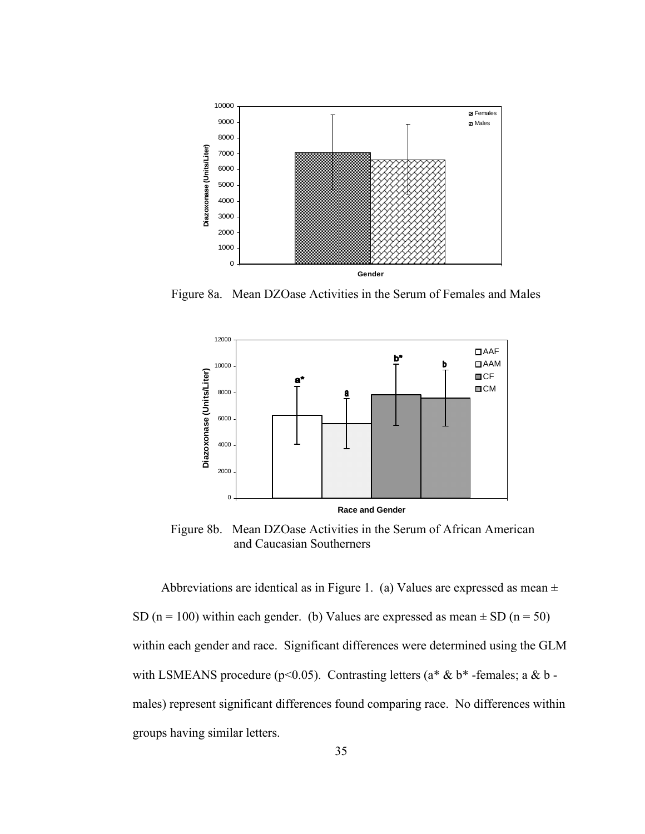

Figure 8a. Mean DZOase Activities in the Serum of Females and Males



 Figure 8b. Mean DZOase Activities in the Serum of African American and Caucasian Southerners

Abbreviations are identical as in Figure 1. (a) Values are expressed as mean  $\pm$ SD (n = 100) within each gender. (b) Values are expressed as mean  $\pm$  SD (n = 50) within each gender and race. Significant differences were determined using the GLM with LSMEANS procedure (p<0.05). Contrasting letters ( $a^* \& b^*$ -females;  $a \& b$ males) represent significant differences found comparing race. No differences within groups having similar letters.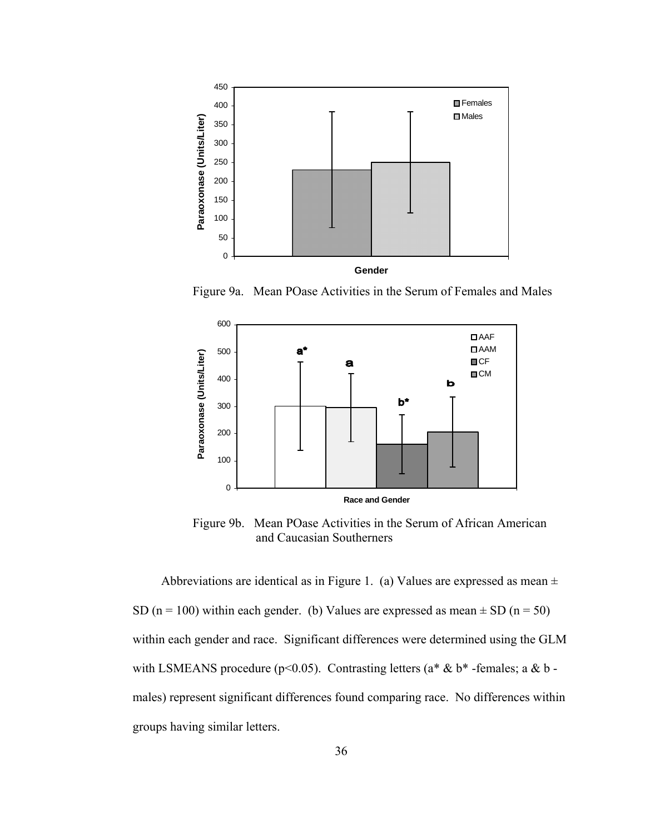

Figure 9a. Mean POase Activities in the Serum of Females and Males



 Figure 9b. Mean POase Activities in the Serum of African American and Caucasian Southerners

Abbreviations are identical as in Figure 1. (a) Values are expressed as mean  $\pm$ SD (n = 100) within each gender. (b) Values are expressed as mean  $\pm$  SD (n = 50) within each gender and race. Significant differences were determined using the GLM with LSMEANS procedure (p<0.05). Contrasting letters ( $a^* \& b^*$ -females;  $a \& b$ males) represent significant differences found comparing race. No differences within groups having similar letters.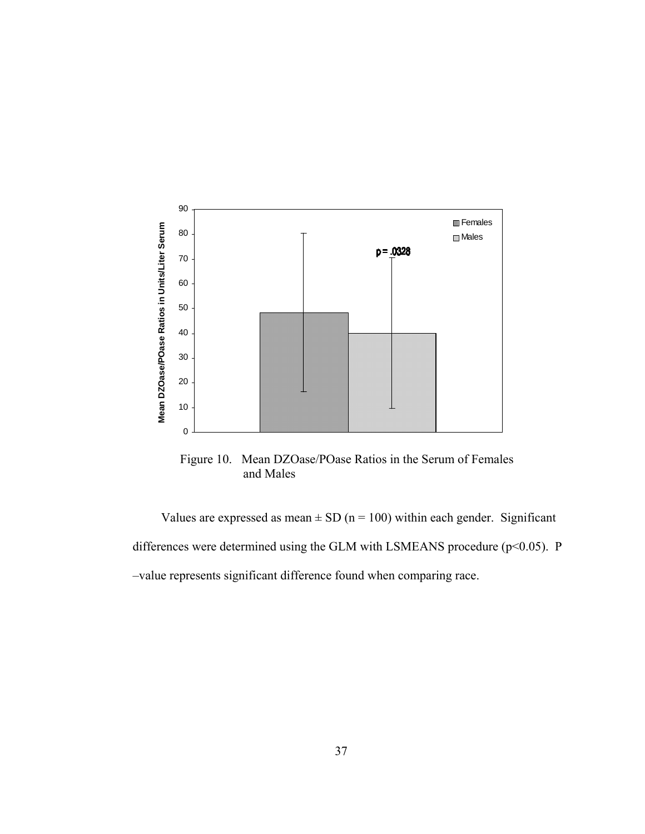

 Figure 10. Mean DZOase/POase Ratios in the Serum of Females and Males

Values are expressed as mean  $\pm$  SD (n = 100) within each gender. Significant differences were determined using the GLM with LSMEANS procedure ( $p$ <0.05). P –value represents significant difference found when comparing race.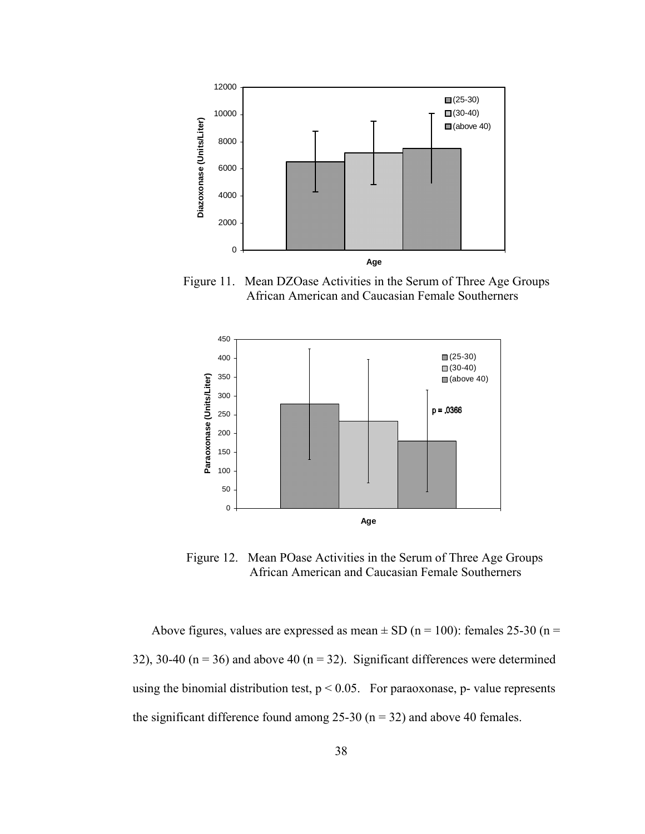

 Figure 11. Mean DZOase Activities in the Serum of Three Age Groups African American and Caucasian Female Southerners



 Figure 12. Mean POase Activities in the Serum of Three Age Groups African American and Caucasian Female Southerners

Above figures, values are expressed as mean  $\pm$  SD (n = 100): females 25-30 (n = 32), 30-40 ( $n = 36$ ) and above 40 ( $n = 32$ ). Significant differences were determined using the binomial distribution test,  $p < 0.05$ . For paraoxonase, p-value represents the significant difference found among  $25-30$  (n = 32) and above 40 females.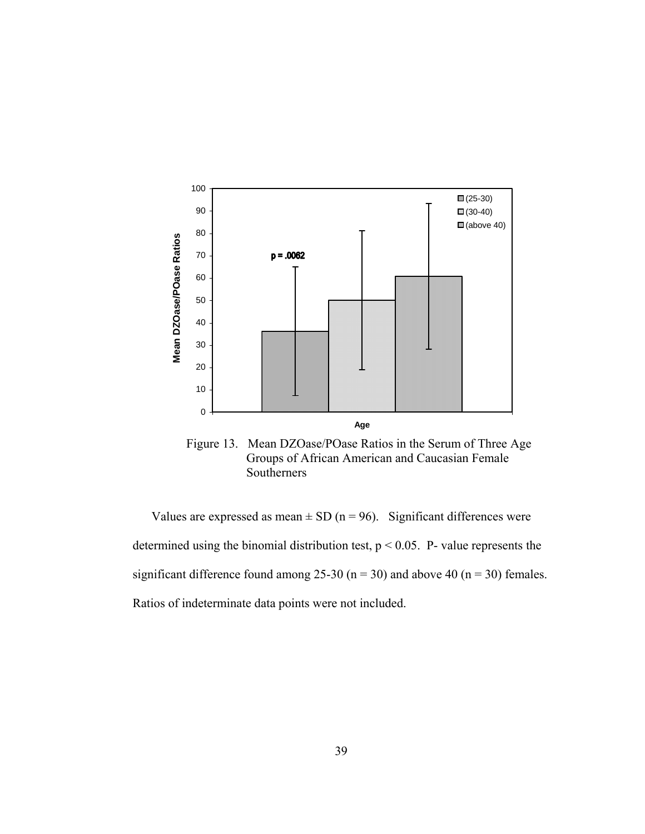

 Figure 13. Mean DZOase/POase Ratios in the Serum of Three Age Groups of African American and Caucasian Female Southerners

Values are expressed as mean  $\pm$  SD (n = 96). Significant differences were determined using the binomial distribution test,  $p < 0.05$ . P- value represents the significant difference found among 25-30 ( $n = 30$ ) and above 40 ( $n = 30$ ) females. Ratios of indeterminate data points were not included.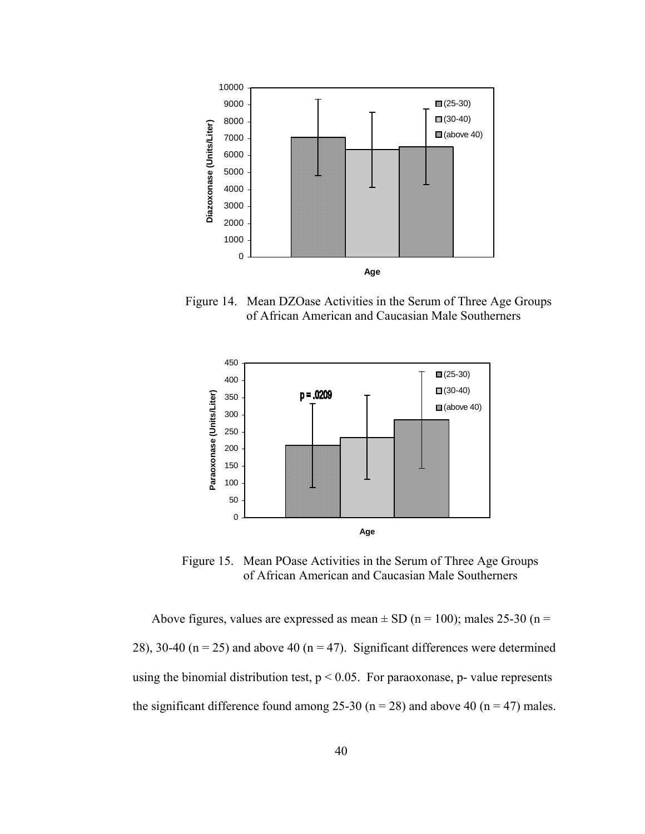

 Figure 14. Mean DZOase Activities in the Serum of Three Age Groups of African American and Caucasian Male Southerners



 Figure 15. Mean POase Activities in the Serum of Three Age Groups of African American and Caucasian Male Southerners

Above figures, values are expressed as mean  $\pm$  SD (n = 100); males 25-30 (n = 28), 30-40 ( $n = 25$ ) and above 40 ( $n = 47$ ). Significant differences were determined using the binomial distribution test,  $p < 0.05$ . For paraoxonase, p-value represents the significant difference found among 25-30 ( $n = 28$ ) and above 40 ( $n = 47$ ) males.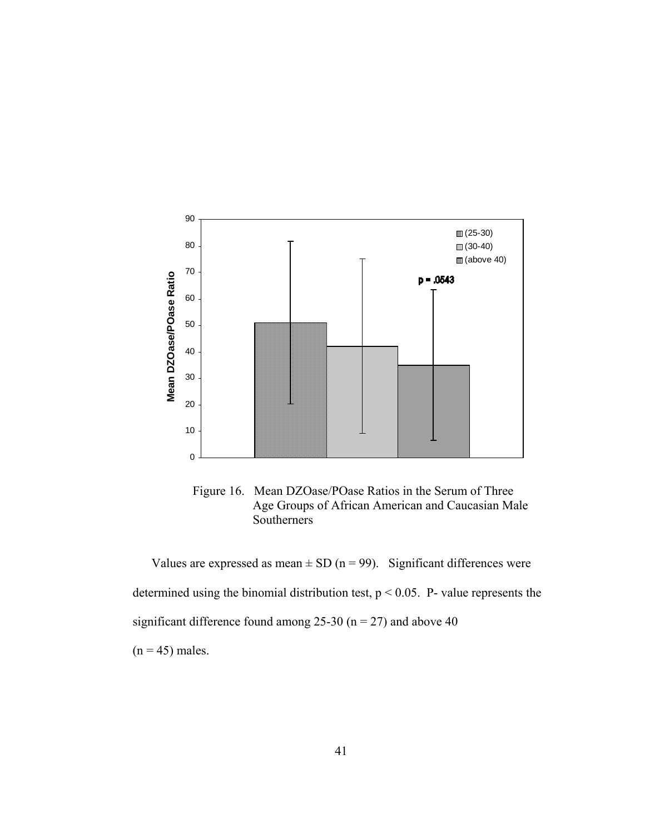



Values are expressed as mean  $\pm$  SD (n = 99). Significant differences were determined using the binomial distribution test,  $p < 0.05$ . P- value represents the significant difference found among 25-30 ( $n = 27$ ) and above 40  $(n = 45)$  males.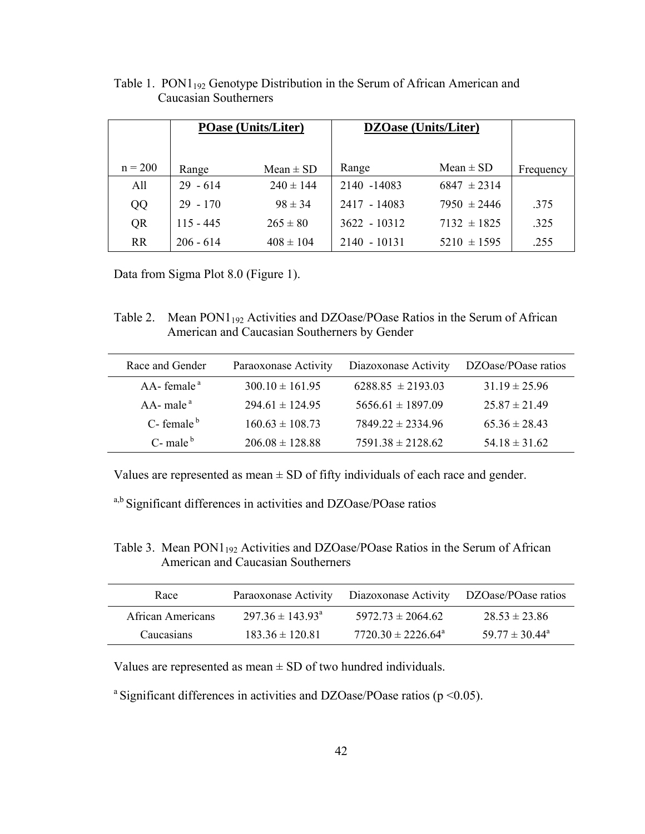|           | <b>POase (Units/Liter)</b> |               |                | <b>DZOase (Units/Liter)</b> |           |
|-----------|----------------------------|---------------|----------------|-----------------------------|-----------|
|           |                            |               |                |                             |           |
| $n = 200$ | Range                      | $Mean \pm SD$ | Range          | Mean $\pm$ SD               | Frequency |
| All       | $29 - 614$                 | $240 \pm 144$ | 2140 -14083    | $6847 \pm 2314$             |           |
| QQ        | $29 - 170$                 | $98 \pm 34$   | 2417 - 14083   | $7950 \pm 2446$             | .375      |
| QR        | $115 - 445$                | $265 \pm 80$  | $3622 - 10312$ | $7132 \pm 1825$             | .325      |
| <b>RR</b> | $206 - 614$                | $408 \pm 104$ | 2140 - 10131   | $5210 \pm 1595$             | .255      |

Table 1. PON1<sub>192</sub> Genotype Distribution in the Serum of African American and Caucasian Southerners

Data from Sigma Plot 8.0 (Figure 1).

Table 2. Mean PON1<sub>192</sub> Activities and DZOase/POase Ratios in the Serum of African American and Caucasian Southerners by Gender

| Race and Gender                         | Paraoxonase Activity | Diazoxonase Activity  | DZOase/POase ratios |
|-----------------------------------------|----------------------|-----------------------|---------------------|
| $AA$ - female <sup><math>a</math></sup> | $300.10 \pm 161.95$  | $6288.85 \pm 2193.03$ | $31.19 \pm 25.96$   |
| $AA$ - male <sup>a</sup>                | $294.61 \pm 124.95$  | $5656.61 \pm 1897.09$ | $25.87 \pm 21.49$   |
| $C$ - female $b$                        | $160.63 \pm 108.73$  | $7849.22 \pm 2334.96$ | $65.36 \pm 28.43$   |
| $C$ - male $b$                          | $206.08 \pm 128.88$  | $7591.38 \pm 2128.62$ | $54.18 \pm 31.62$   |

Values are represented as mean  $\pm$  SD of fifty individuals of each race and gender.

a,b Significant differences in activities and DZOase/POase ratios

Table 3. Mean  $PON1_{192}$  Activities and DZOase/POase Ratios in the Serum of African American and Caucasian Southerners

| Race              |                                  | Paraoxonase Activity Diazoxonase Activity DZOase/POase ratios |                                |
|-------------------|----------------------------------|---------------------------------------------------------------|--------------------------------|
| African Americans | $297.36 \pm 143.93$ <sup>a</sup> | $5972$ 73 ± 2064 62                                           | $28.53 \pm 23.86$              |
| Caucasians        | $183.36 \pm 120.81$              | $7720$ 30 ± 2226 64 <sup>a</sup>                              | 59 77 $\pm$ 30 44 <sup>a</sup> |

Values are represented as mean  $\pm$  SD of two hundred individuals.

<sup>a</sup> Significant differences in activities and DZOase/POase ratios ( $p \le 0.05$ ).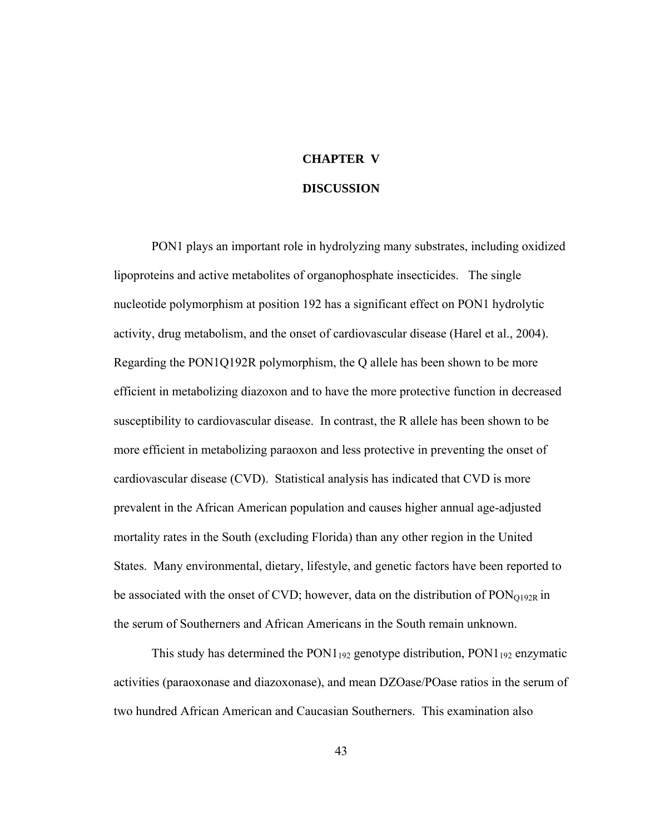# **CHAPTER V DISCUSSION**

PON1 plays an important role in hydrolyzing many substrates, including oxidized lipoproteins and active metabolites of organophosphate insecticides. The single nucleotide polymorphism at position 192 has a significant effect on PON1 hydrolytic activity, drug metabolism, and the onset of cardiovascular disease (Harel et al., 2004). Regarding the PON1Q192R polymorphism, the Q allele has been shown to be more efficient in metabolizing diazoxon and to have the more protective function in decreased susceptibility to cardiovascular disease. In contrast, the R allele has been shown to be more efficient in metabolizing paraoxon and less protective in preventing the onset of cardiovascular disease (CVD). Statistical analysis has indicated that CVD is more prevalent in the African American population and causes higher annual age-adjusted mortality rates in the South (excluding Florida) than any other region in the United States. Many environmental, dietary, lifestyle, and genetic factors have been reported to be associated with the onset of CVD; however, data on the distribution of  $PON<sub>O192R</sub>$  in the serum of Southerners and African Americans in the South remain unknown.

This study has determined the  $PON1_{192}$  genotype distribution,  $PON1_{192}$  enzymatic activities (paraoxonase and diazoxonase), and mean DZOase/POase ratios in the serum of two hundred African American and Caucasian Southerners. This examination also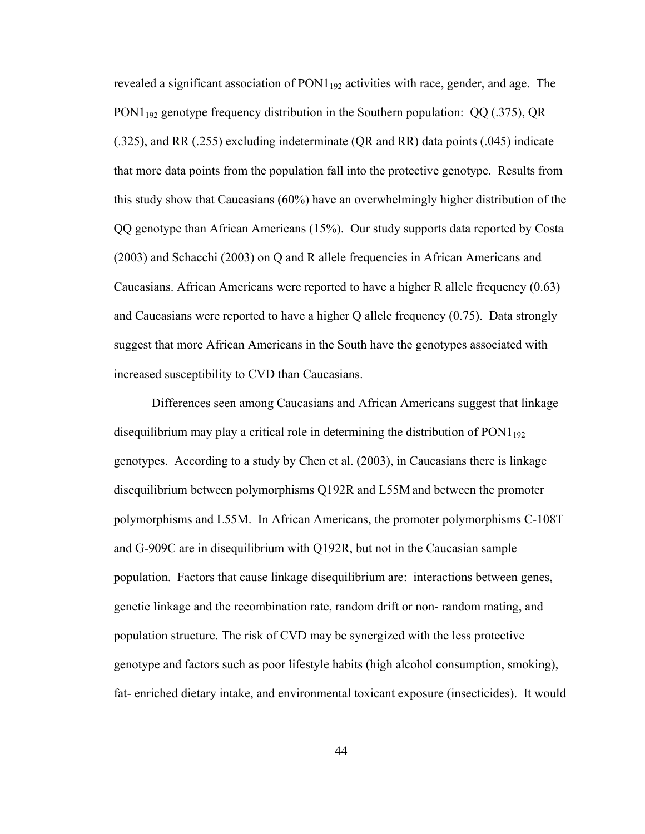revealed a significant association of  $PON1_{192}$  activities with race, gender, and age. The PON1<sub>192</sub> genotype frequency distribution in the Southern population:  $QQ(0.375)$ , QR (.325), and RR (.255) excluding indeterminate (QR and RR) data points (.045) indicate that more data points from the population fall into the protective genotype. Results from this study show that Caucasians (60%) have an overwhelmingly higher distribution of the QQ genotype than African Americans (15%). Our study supports data reported by Costa (2003) and Schacchi (2003) on Q and R allele frequencies in African Americans and Caucasians. African Americans were reported to have a higher R allele frequency (0.63) and Caucasians were reported to have a higher Q allele frequency (0.75). Data strongly suggest that more African Americans in the South have the genotypes associated with increased susceptibility to CVD than Caucasians.

Differences seen among Caucasians and African Americans suggest that linkage disequilibrium may play a critical role in determining the distribution of  $PON1_{192}$ genotypes. According to a study by Chen et al. (2003), in Caucasians there is linkage disequilibrium between polymorphisms Q192R and L55M and between the promoter polymorphisms and L55M. In African Americans, the promoter polymorphisms C-108T and G-909C are in disequilibrium with Q192R, but not in the Caucasian sample population. Factors that cause linkage disequilibrium are: interactions between genes, genetic linkage and the recombination rate, random drift or non- random mating, and population structure. The risk of CVD may be synergized with the less protective genotype and factors such as poor lifestyle habits (high alcohol consumption, smoking), fat- enriched dietary intake, and environmental toxicant exposure (insecticides). It would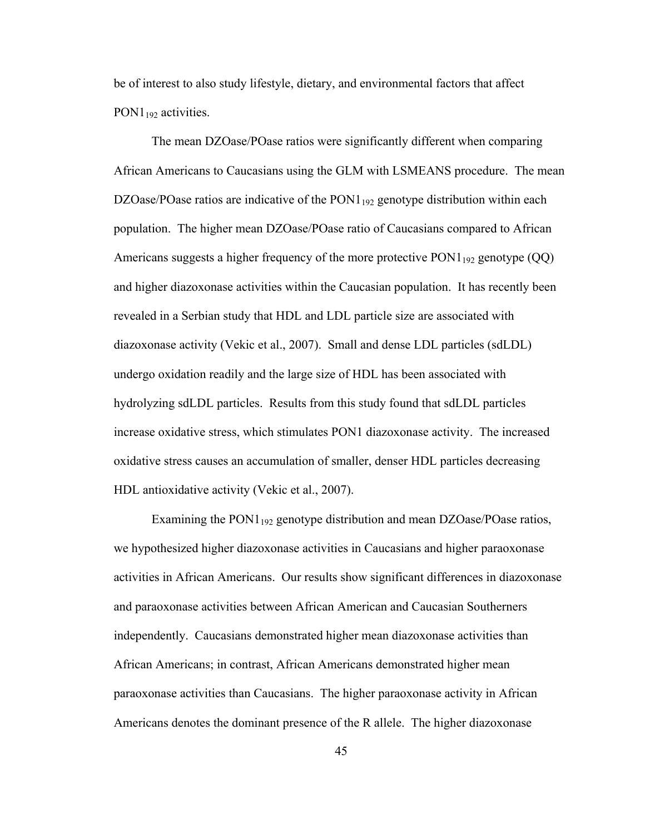be of interest to also study lifestyle, dietary, and environmental factors that affect  $PON1_{192}$  activities.

The mean DZOase/POase ratios were significantly different when comparing African Americans to Caucasians using the GLM with LSMEANS procedure. The mean DZOase/POase ratios are indicative of the  $PON1_{192}$  genotype distribution within each population. The higher mean DZOase/POase ratio of Caucasians compared to African Americans suggests a higher frequency of the more protective PON1<sub>192</sub> genotype (QQ) and higher diazoxonase activities within the Caucasian population. It has recently been revealed in a Serbian study that HDL and LDL particle size are associated with diazoxonase activity (Vekic et al., 2007). Small and dense LDL particles (sdLDL) undergo oxidation readily and the large size of HDL has been associated with hydrolyzing sdLDL particles. Results from this study found that sdLDL particles increase oxidative stress, which stimulates PON1 diazoxonase activity. The increased oxidative stress causes an accumulation of smaller, denser HDL particles decreasing HDL antioxidative activity (Vekic et al., 2007).

Examining the  $PON1_{192}$  genotype distribution and mean DZOase/POase ratios, we hypothesized higher diazoxonase activities in Caucasians and higher paraoxonase activities in African Americans. Our results show significant differences in diazoxonase and paraoxonase activities between African American and Caucasian Southerners independently. Caucasians demonstrated higher mean diazoxonase activities than African Americans; in contrast, African Americans demonstrated higher mean paraoxonase activities than Caucasians. The higher paraoxonase activity in African Americans denotes the dominant presence of the R allele. The higher diazoxonase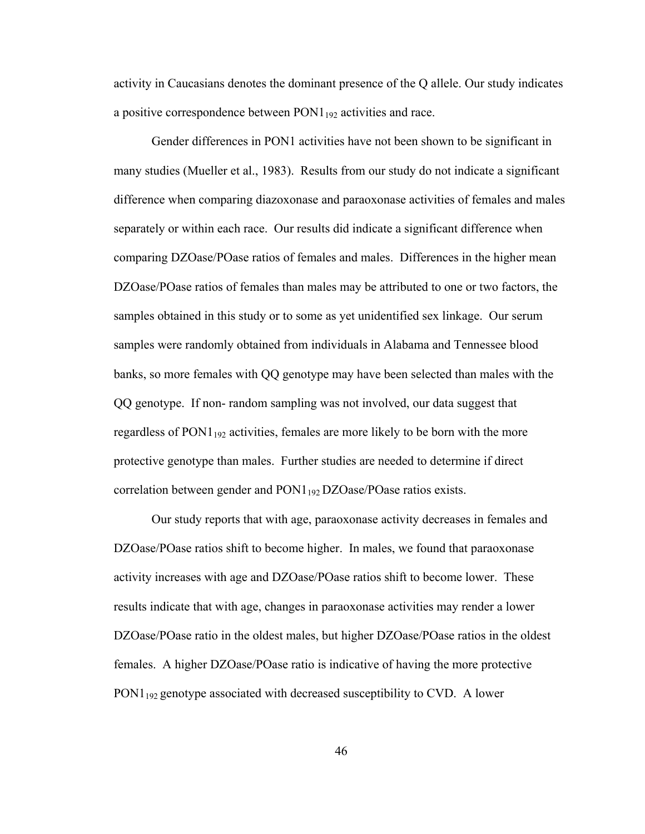activity in Caucasians denotes the dominant presence of the Q allele. Our study indicates a positive correspondence between PON1<sub>192</sub> activities and race.

Gender differences in PON1 activities have not been shown to be significant in many studies (Mueller et al., 1983). Results from our study do not indicate a significant difference when comparing diazoxonase and paraoxonase activities of females and males separately or within each race. Our results did indicate a significant difference when comparing DZOase/POase ratios of females and males. Differences in the higher mean DZOase/POase ratios of females than males may be attributed to one or two factors, the samples obtained in this study or to some as yet unidentified sex linkage. Our serum samples were randomly obtained from individuals in Alabama and Tennessee blood banks, so more females with QQ genotype may have been selected than males with the QQ genotype. If non- random sampling was not involved, our data suggest that regardless of  $PON1_{192}$  activities, females are more likely to be born with the more protective genotype than males. Further studies are needed to determine if direct correlation between gender and  $PON1_{192}$  DZOase/POase ratios exists.

Our study reports that with age, paraoxonase activity decreases in females and DZOase/POase ratios shift to become higher. In males, we found that paraoxonase activity increases with age and DZOase/POase ratios shift to become lower. These results indicate that with age, changes in paraoxonase activities may render a lower DZOase/POase ratio in the oldest males, but higher DZOase/POase ratios in the oldest females. A higher DZOase/POase ratio is indicative of having the more protective PON1<sub>192</sub> genotype associated with decreased susceptibility to CVD. A lower

46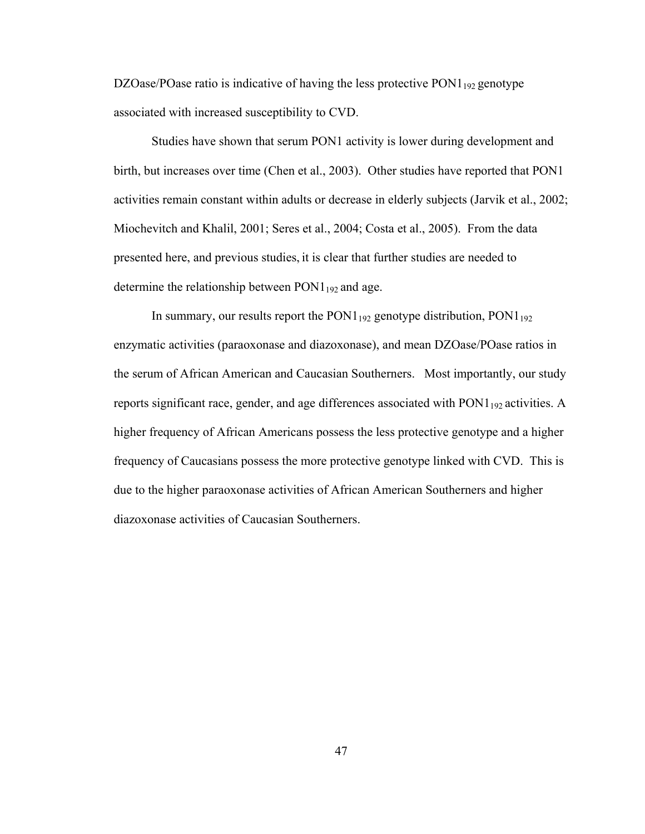DZOase/POase ratio is indicative of having the less protective  $PON1_{192}$  genotype associated with increased susceptibility to CVD.

 Studies have shown that serum PON1 activity is lower during development and birth, but increases over time (Chen et al., 2003). Other studies have reported that PON1 activities remain constant within adults or decrease in elderly subjects (Jarvik et al., 2002; Miochevitch and Khalil, 2001; Seres et al., 2004; Costa et al., 2005). From the data presented here, and previous studies, it is clear that further studies are needed to determine the relationship between  $PON1_{192}$  and age.

In summary, our results report the PON1<sub>192</sub> genotype distribution, PON1<sub>192</sub> enzymatic activities (paraoxonase and diazoxonase), and mean DZOase/POase ratios in the serum of African American and Caucasian Southerners. Most importantly, our study reports significant race, gender, and age differences associated with  $PON1_{192}$  activities. A higher frequency of African Americans possess the less protective genotype and a higher frequency of Caucasians possess the more protective genotype linked with CVD. This is due to the higher paraoxonase activities of African American Southerners and higher diazoxonase activities of Caucasian Southerners.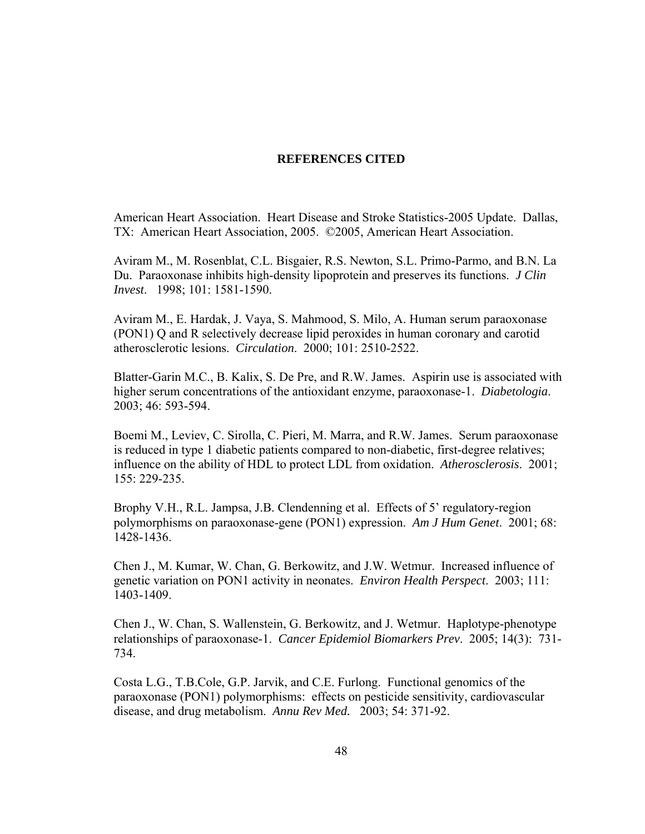### **REFERENCES CITED**

American Heart Association. Heart Disease and Stroke Statistics-2005 Update. Dallas, TX: American Heart Association, 2005. ©2005, American Heart Association.

Aviram M., M. Rosenblat, C.L. Bisgaier, R.S. Newton, S.L. Primo-Parmo, and B.N. La Du. Paraoxonase inhibits high-density lipoprotein and preserves its functions. *J Clin Invest*. 1998; 101: 1581-1590.

Aviram M., E. Hardak, J. Vaya, S. Mahmood, S. Milo, A. Human serum paraoxonase (PON1) Q and R selectively decrease lipid peroxides in human coronary and carotid atherosclerotic lesions. *Circulation*. 2000; 101: 2510-2522.

Blatter-Garin M.C., B. Kalix, S. De Pre, and R.W. James. Aspirin use is associated with higher serum concentrations of the antioxidant enzyme, paraoxonase-1. *Diabetologia*. 2003; 46: 593-594.

Boemi M., Leviev, C. Sirolla, C. Pieri, M. Marra, and R.W. James. Serum paraoxonase is reduced in type 1 diabetic patients compared to non-diabetic, first-degree relatives; influence on the ability of HDL to protect LDL from oxidation. *Atherosclerosis*. 2001; 155: 229-235.

Brophy V.H., R.L. Jampsa, J.B. Clendenning et al. Effects of 5' regulatory-region polymorphisms on paraoxonase-gene (PON1) expression. *Am J Hum Genet*. 2001; 68: 1428-1436.

Chen J., M. Kumar, W. Chan, G. Berkowitz, and J.W. Wetmur. Increased influence of genetic variation on PON1 activity in neonates. *Environ Health Perspect*. 2003; 111: 1403-1409.

Chen J., W. Chan, S. Wallenstein, G. Berkowitz, and J. Wetmur. Haplotype-phenotype relationships of paraoxonase-1. *Cancer Epidemiol Biomarkers Prev*. 2005; 14(3): 731- 734.

Costa L.G., T.B.Cole, G.P. Jarvik, and C.E. Furlong. Functional genomics of the paraoxonase (PON1) polymorphisms: effects on pesticide sensitivity, cardiovascular disease, and drug metabolism. *Annu Rev Med.* 2003; 54: 371-92.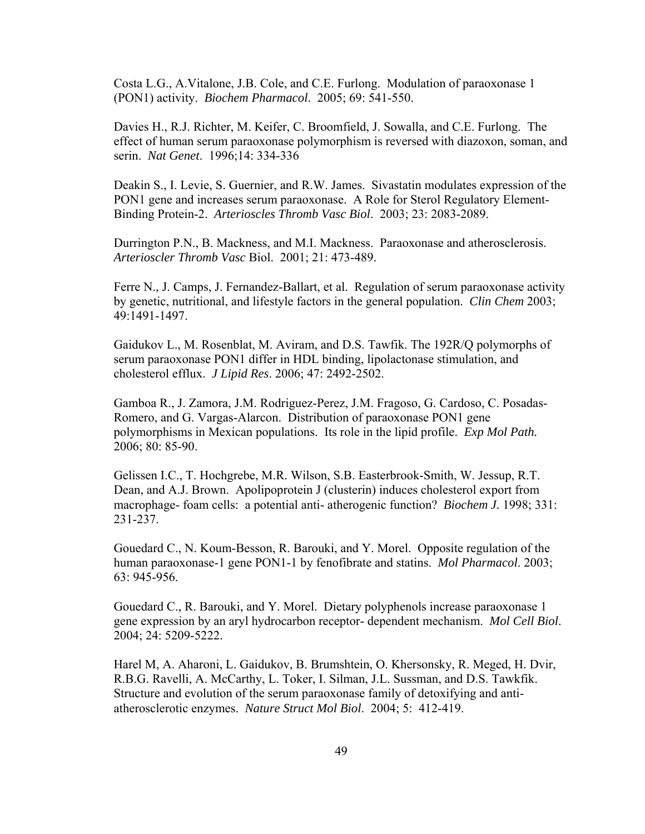Costa L.G., A.Vitalone, J.B. Cole, and C.E. Furlong. Modulation of paraoxonase 1 (PON1) activity. *Biochem Pharmacol*. 2005; 69: 541-550.

Davies H., R.J. Richter, M. Keifer, C. Broomfield, J. Sowalla, and C.E. Furlong. The effect of human serum paraoxonase polymorphism is reversed with diazoxon, soman, and serin. *Nat Genet*. 1996;14: 334-336

Deakin S., I. Levie, S. Guernier, and R.W. James. Sivastatin modulates expression of the PON1 gene and increases serum paraoxonase. A Role for Sterol Regulatory Element-Binding Protein-2. *Arterioscles Thromb Vasc Biol*. 2003; 23: 2083-2089.

Durrington P.N., B. Mackness, and M.I. Mackness. Paraoxonase and atherosclerosis. *Arterioscler Thromb Vasc* Biol. 2001; 21: 473-489.

Ferre N., J. Camps, J. Fernandez-Ballart, et al. Regulation of serum paraoxonase activity by genetic, nutritional, and lifestyle factors in the general population. *Clin Chem* 2003; 49:1491-1497.

Gaidukov L., M. Rosenblat, M. Aviram, and D.S. Tawfik. The 192R/Q polymorphs of serum paraoxonase PON1 differ in HDL binding, lipolactonase stimulation, and cholesterol efflux. *J Lipid Res*. 2006; 47: 2492-2502.

Gamboa R., J. Zamora, J.M. Rodriguez-Perez, J.M. Fragoso, G. Cardoso, C. Posadas-Romero, and G. Vargas-Alarcon. Distribution of paraoxonase PON1 gene polymorphisms in Mexican populations. Its role in the lipid profile. *Exp Mol Path.* 2006; 80: 85-90.

Gelissen I.C., T. Hochgrebe, M.R. Wilson, S.B. Easterbrook-Smith, W. Jessup, R.T. Dean, and A.J. Brown. Apolipoprotein J (clusterin) induces cholesterol export from macrophage- foam cells: a potential anti- atherogenic function? *Biochem J.* 1998; 331: 231-237.

Gouedard C., N. Koum-Besson, R. Barouki, and Y. Morel. Opposite regulation of the human paraoxonase-1 gene PON1-1 by fenofibrate and statins. *Mol Pharmacol*. 2003; 63: 945-956.

Gouedard C., R. Barouki, and Y. Morel. Dietary polyphenols increase paraoxonase 1 gene expression by an aryl hydrocarbon receptor- dependent mechanism. *Mol Cell Biol*. 2004; 24: 5209-5222.

Harel M, A. Aharoni, L. Gaidukov, B. Brumshtein, O. Khersonsky, R. Meged, H. Dvir, R.B.G. Ravelli, A. McCarthy, L. Toker, I. Silman, J.L. Sussman, and D.S. Tawkfik. Structure and evolution of the serum paraoxonase family of detoxifying and antiatherosclerotic enzymes. *Nature Struct Mol Biol*. 2004; 5: 412-419.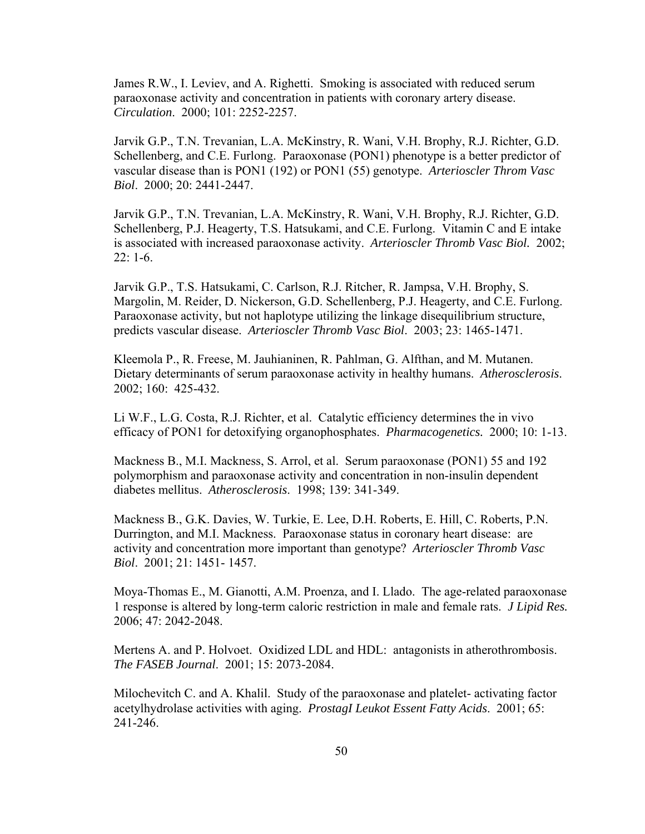James R.W., I. Leviev, and A. Righetti. Smoking is associated with reduced serum paraoxonase activity and concentration in patients with coronary artery disease. *Circulation*. 2000; 101: 2252-2257.

Jarvik G.P., T.N. Trevanian, L.A. McKinstry, R. Wani, V.H. Brophy, R.J. Richter, G.D. Schellenberg, and C.E. Furlong. Paraoxonase (PON1) phenotype is a better predictor of vascular disease than is PON1 (192) or PON1 (55) genotype. *Arterioscler Throm Vasc Biol*. 2000; 20: 2441-2447.

Jarvik G.P., T.N. Trevanian, L.A. McKinstry, R. Wani, V.H. Brophy, R.J. Richter, G.D. Schellenberg, P.J. Heagerty, T.S. Hatsukami, and C.E. Furlong. Vitamin C and E intake is associated with increased paraoxonase activity. *Arterioscler Thromb Vasc Biol.* 2002; 22: 1-6.

Jarvik G.P., T.S. Hatsukami, C. Carlson, R.J. Ritcher, R. Jampsa, V.H. Brophy, S. Margolin, M. Reider, D. Nickerson, G.D. Schellenberg, P.J. Heagerty, and C.E. Furlong. Paraoxonase activity, but not haplotype utilizing the linkage disequilibrium structure, predicts vascular disease. *Arterioscler Thromb Vasc Biol*. 2003; 23: 1465-1471.

Kleemola P., R. Freese, M. Jauhianinen, R. Pahlman, G. Alfthan, and M. Mutanen. Dietary determinants of serum paraoxonase activity in healthy humans. *Atherosclerosis*. 2002; 160: 425-432.

Li W.F., L.G. Costa, R.J. Richter, et al. Catalytic efficiency determines the in vivo efficacy of PON1 for detoxifying organophosphates. *Pharmacogenetics.* 2000; 10: 1-13.

Mackness B., M.I. Mackness, S. Arrol, et al. Serum paraoxonase (PON1) 55 and 192 polymorphism and paraoxonase activity and concentration in non-insulin dependent diabetes mellitus. *Atherosclerosis*. 1998; 139: 341-349.

Mackness B., G.K. Davies, W. Turkie, E. Lee, D.H. Roberts, E. Hill, C. Roberts, P.N. Durrington, and M.I. Mackness. Paraoxonase status in coronary heart disease: are activity and concentration more important than genotype? *Arterioscler Thromb Vasc Biol*. 2001; 21: 1451- 1457.

Moya-Thomas E., M. Gianotti, A.M. Proenza, and I. Llado. The age-related paraoxonase 1 response is altered by long-term caloric restriction in male and female rats. *J Lipid Res.* 2006; 47: 2042-2048.

Mertens A. and P. Holvoet. Oxidized LDL and HDL: antagonists in atherothrombosis. *The FASEB Journal*. 2001; 15: 2073-2084.

Milochevitch C. and A. Khalil. Study of the paraoxonase and platelet- activating factor acetylhydrolase activities with aging. *ProstagI Leukot Essent Fatty Acids*. 2001; 65: 241-246.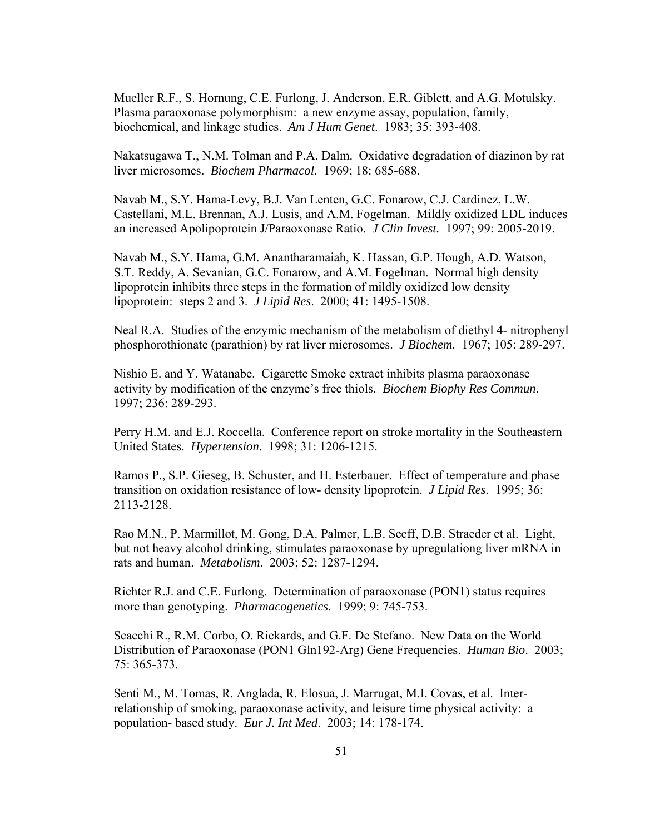Mueller R.F., S. Hornung, C.E. Furlong, J. Anderson, E.R. Giblett, and A.G. Motulsky. Plasma paraoxonase polymorphism: a new enzyme assay, population, family, biochemical, and linkage studies. *Am J Hum Genet*. 1983; 35: 393-408.

Nakatsugawa T., N.M. Tolman and P.A. Dalm. Oxidative degradation of diazinon by rat liver microsomes. *Biochem Pharmacol.* 1969; 18: 685-688.

Navab M., S.Y. Hama-Levy, B.J. Van Lenten, G.C. Fonarow, C.J. Cardinez, L.W. Castellani, M.L. Brennan, A.J. Lusis, and A.M. Fogelman. Mildly oxidized LDL induces an increased Apolipoprotein J/Paraoxonase Ratio. *J Clin Invest.* 1997; 99: 2005-2019.

Navab M., S.Y. Hama, G.M. Anantharamaiah, K. Hassan, G.P. Hough, A.D. Watson, S.T. Reddy, A. Sevanian, G.C. Fonarow, and A.M. Fogelman. Normal high density lipoprotein inhibits three steps in the formation of mildly oxidized low density lipoprotein: steps 2 and 3. *J Lipid Res*. 2000; 41: 1495-1508.

Neal R.A. Studies of the enzymic mechanism of the metabolism of diethyl 4- nitrophenyl phosphorothionate (parathion) by rat liver microsomes. *J Biochem.* 1967; 105: 289-297.

Nishio E. and Y. Watanabe. Cigarette Smoke extract inhibits plasma paraoxonase activity by modification of the enzyme's free thiols. *Biochem Biophy Res Commun*. 1997; 236: 289-293.

Perry H.M. and E.J. Roccella. Conference report on stroke mortality in the Southeastern United States. *Hypertension*. 1998; 31: 1206-1215.

Ramos P., S.P. Gieseg, B. Schuster, and H. Esterbauer. Effect of temperature and phase transition on oxidation resistance of low- density lipoprotein. *J Lipid Res*. 1995; 36: 2113-2128.

Rao M.N., P. Marmillot, M. Gong, D.A. Palmer, L.B. Seeff, D.B. Straeder et al. Light, but not heavy alcohol drinking, stimulates paraoxonase by upregulationg liver mRNA in rats and human. *Metabolism*. 2003; 52: 1287-1294.

Richter R.J. and C.E. Furlong. Determination of paraoxonase (PON1) status requires more than genotyping. *Pharmacogenetics*. 1999; 9: 745-753.

Scacchi R., R.M. Corbo, O. Rickards, and G.F. De Stefano. New Data on the World Distribution of Paraoxonase (PON1 Gln192-Arg) Gene Frequencies. *Human Bio*. 2003; 75: 365-373.

Senti M., M. Tomas, R. Anglada, R. Elosua, J. Marrugat, M.I. Covas, et al. Interrelationship of smoking, paraoxonase activity, and leisure time physical activity: a population- based study. *Eur J. Int Med*. 2003; 14: 178-174.